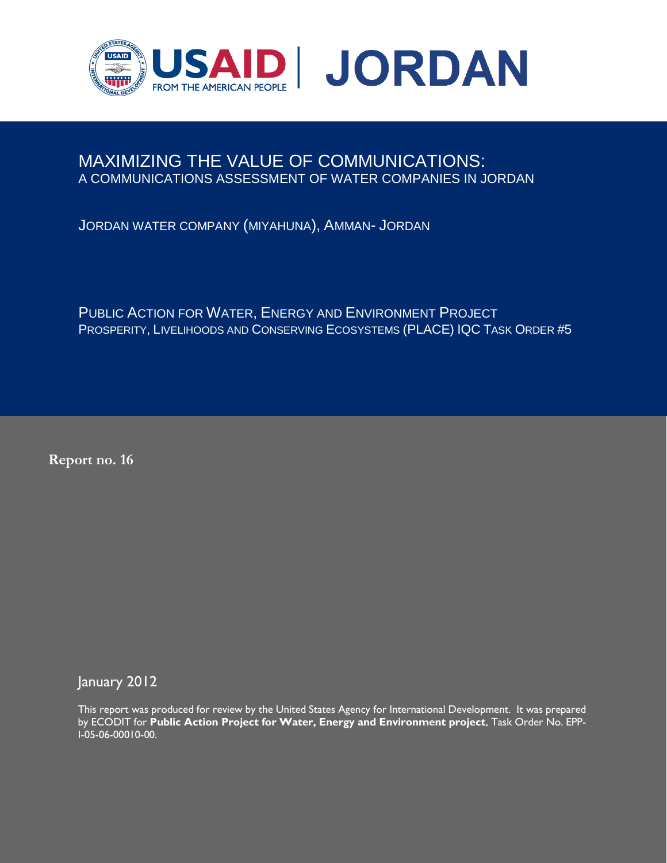

# MAXIMIZING THE VALUE OF COMMUNICATIONS: A COMMUNICATIONS ASSESSMENT OF WATER COMPANIES IN JORDAN

JORDAN WATER COMPANY (MIYAHUNA), AMMAN- JORDAN

PUBLIC ACTION FOR WATER, ENERGY AND ENVIRONMENT PROJECT PROSPERITY, LIVELIHOODS AND CONSERVING ECOSYSTEMS (PLACE) IQC TASK ORDER #5

**Report no. 16**

January 2012

This report was produced for review by the United States Agency for International Development. It was prepared by ECODIT for **Public Action Project for Water, Energy and Environment project**, Task Order No. EPP-I-05-06-00010-00.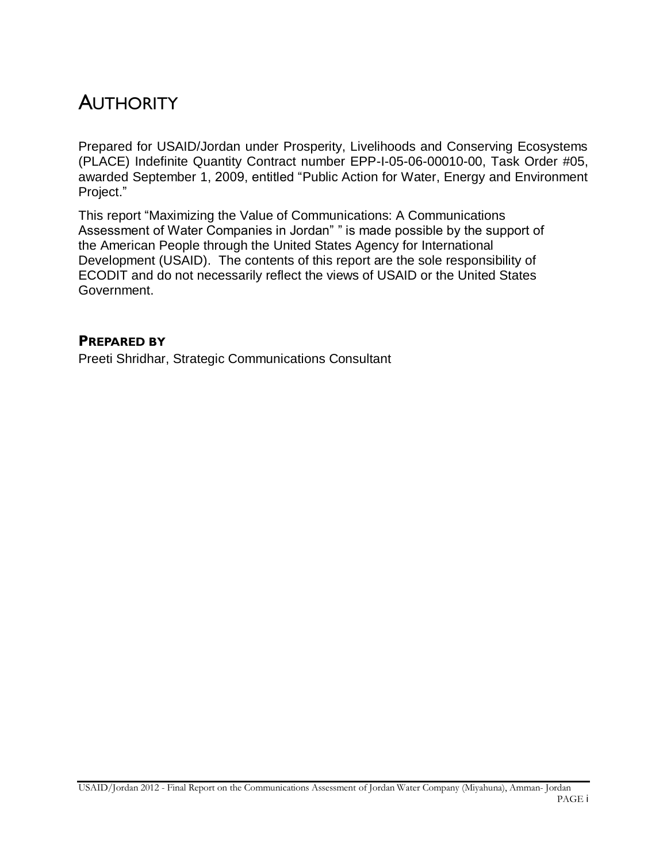# **AUTHORITY**

Prepared for USAID/Jordan under Prosperity, Livelihoods and Conserving Ecosystems (PLACE) Indefinite Quantity Contract number EPP-I-05-06-00010-00, Task Order #05, awarded September 1, 2009, entitled "Public Action for Water, Energy and Environment Project."

This report "Maximizing the Value of Communications: A Communications Assessment of Water Companies in Jordan" " is made possible by the support of the American People through the United States Agency for International Development (USAID). The contents of this report are the sole responsibility of ECODIT and do not necessarily reflect the views of USAID or the United States Government.

## **PREPARED BY**

Preeti Shridhar, Strategic Communications Consultant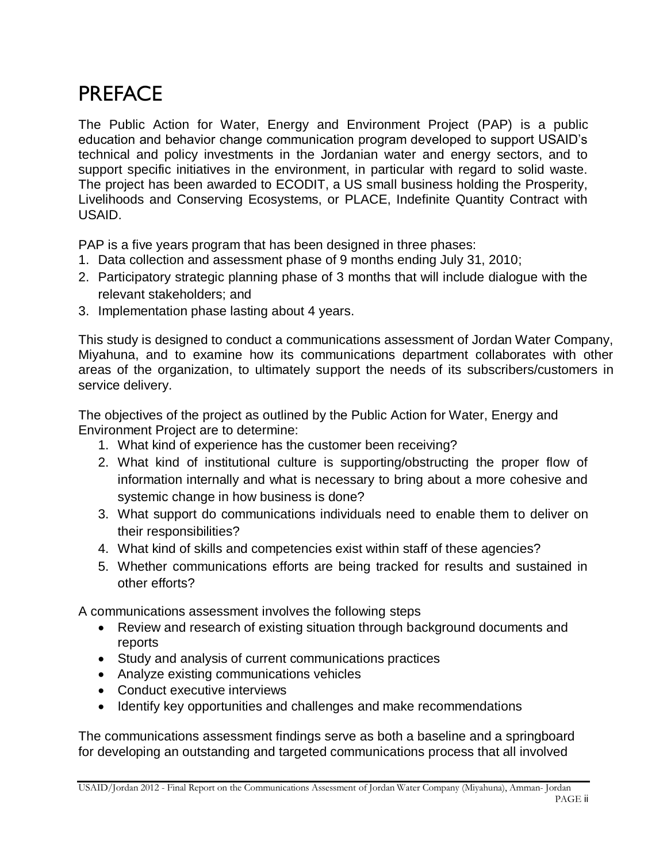# **PREFACE**

The Public Action for Water, Energy and Environment Project (PAP) is a public education and behavior change communication program developed to support USAID's technical and policy investments in the Jordanian water and energy sectors, and to support specific initiatives in the environment, in particular with regard to solid waste. The project has been awarded to ECODIT, a US small business holding the Prosperity, Livelihoods and Conserving Ecosystems, or PLACE, Indefinite Quantity Contract with USAID.

PAP is a five years program that has been designed in three phases:

- 1. Data collection and assessment phase of 9 months ending July 31, 2010;
- 2. Participatory strategic planning phase of 3 months that will include dialogue with the relevant stakeholders; and
- 3. Implementation phase lasting about 4 years.

This study is designed to conduct a communications assessment of Jordan Water Company, Miyahuna, and to examine how its communications department collaborates with other areas of the organization, to ultimately support the needs of its subscribers/customers in service delivery.

The objectives of the project as outlined by the Public Action for Water, Energy and Environment Project are to determine:

- 1. What kind of experience has the customer been receiving?
- 2. What kind of institutional culture is supporting/obstructing the proper flow of information internally and what is necessary to bring about a more cohesive and systemic change in how business is done?
- 3. What support do communications individuals need to enable them to deliver on their responsibilities?
- 4. What kind of skills and competencies exist within staff of these agencies?
- 5. Whether communications efforts are being tracked for results and sustained in other efforts?

A communications assessment involves the following steps

- Review and research of existing situation through background documents and reports
- Study and analysis of current communications practices
- Analyze existing communications vehicles
- Conduct executive interviews
- Identify key opportunities and challenges and make recommendations

The communications assessment findings serve as both a baseline and a springboard for developing an outstanding and targeted communications process that all involved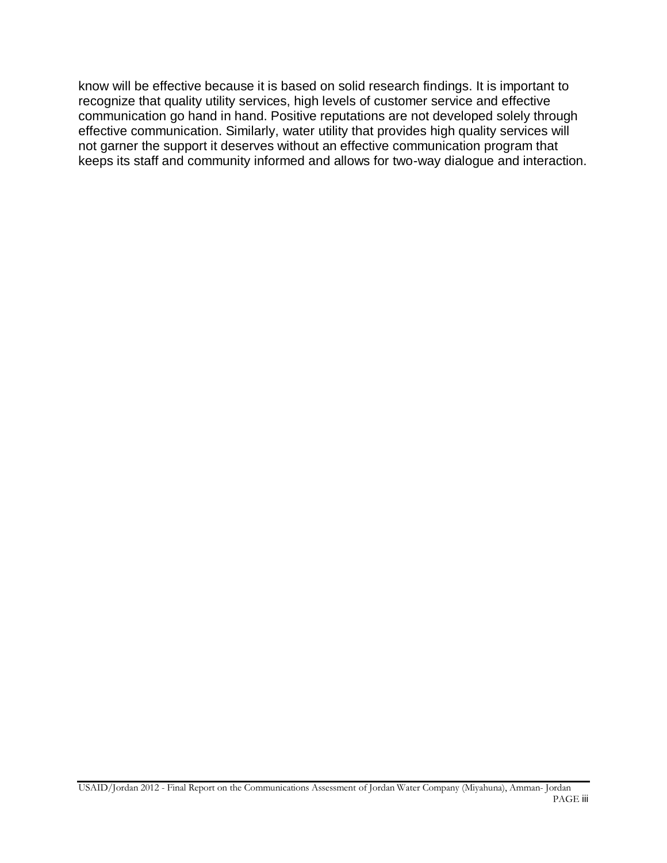know will be effective because it is based on solid research findings. It is important to recognize that quality utility services, high levels of customer service and effective communication go hand in hand. Positive reputations are not developed solely through effective communication. Similarly, water utility that provides high quality services will not garner the support it deserves without an effective communication program that keeps its staff and community informed and allows for two-way dialogue and interaction.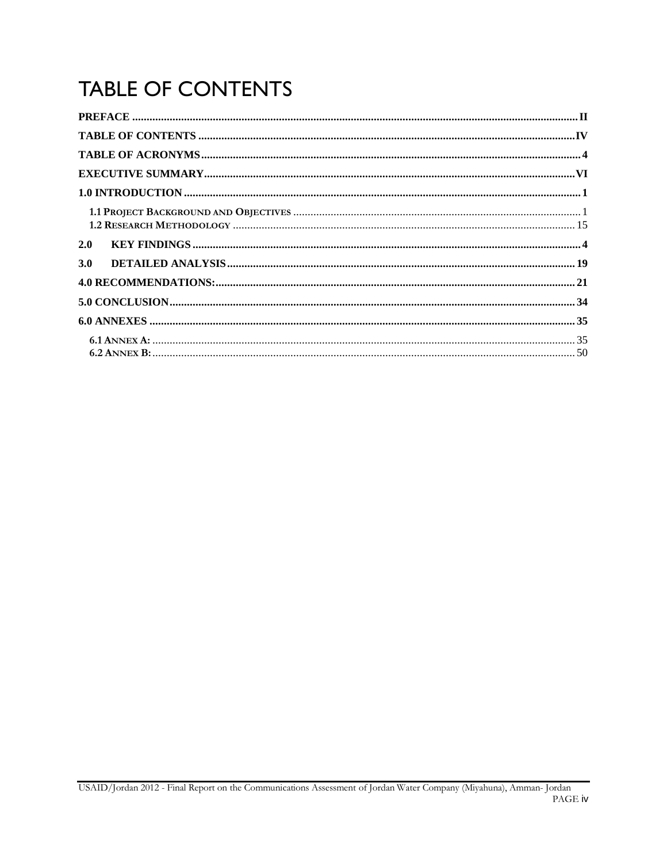# **TABLE OF CONTENTS**

| 2.0 |  |
|-----|--|
| 3.0 |  |
|     |  |
|     |  |
|     |  |
|     |  |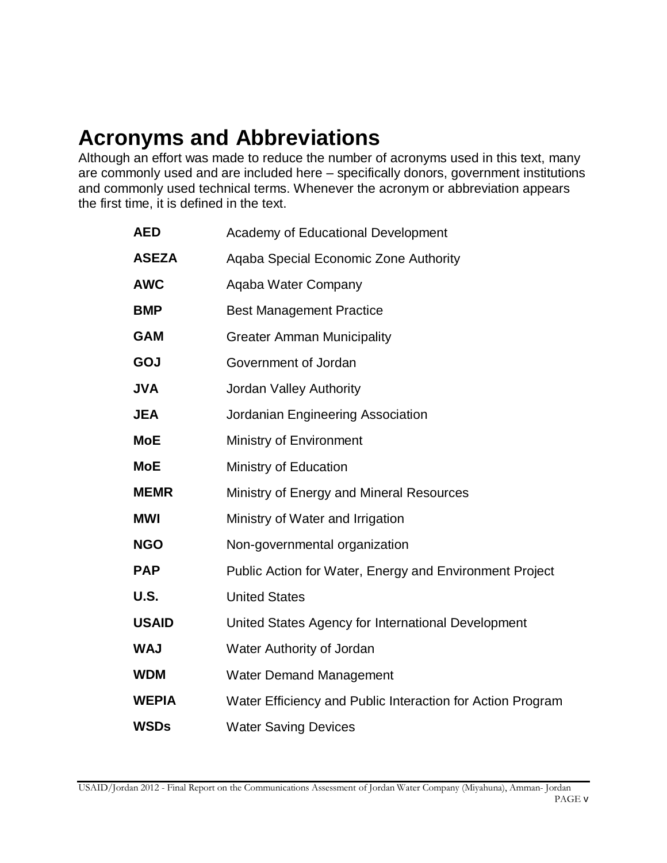# **Acronyms and Abbreviations**

Although an effort was made to reduce the number of acronyms used in this text, many are commonly used and are included here – specifically donors, government institutions and commonly used technical terms. Whenever the acronym or abbreviation appears the first time, it is defined in the text.

| Academy of Educational Development                         |
|------------------------------------------------------------|
| Aqaba Special Economic Zone Authority                      |
| Aqaba Water Company                                        |
| <b>Best Management Practice</b>                            |
| <b>Greater Amman Municipality</b>                          |
| Government of Jordan                                       |
| <b>Jordan Valley Authority</b>                             |
| Jordanian Engineering Association                          |
| Ministry of Environment                                    |
| Ministry of Education                                      |
| Ministry of Energy and Mineral Resources                   |
| Ministry of Water and Irrigation                           |
| Non-governmental organization                              |
| Public Action for Water, Energy and Environment Project    |
| <b>United States</b>                                       |
| United States Agency for International Development         |
| Water Authority of Jordan                                  |
| <b>Water Demand Management</b>                             |
| Water Efficiency and Public Interaction for Action Program |
| <b>Water Saving Devices</b>                                |
|                                                            |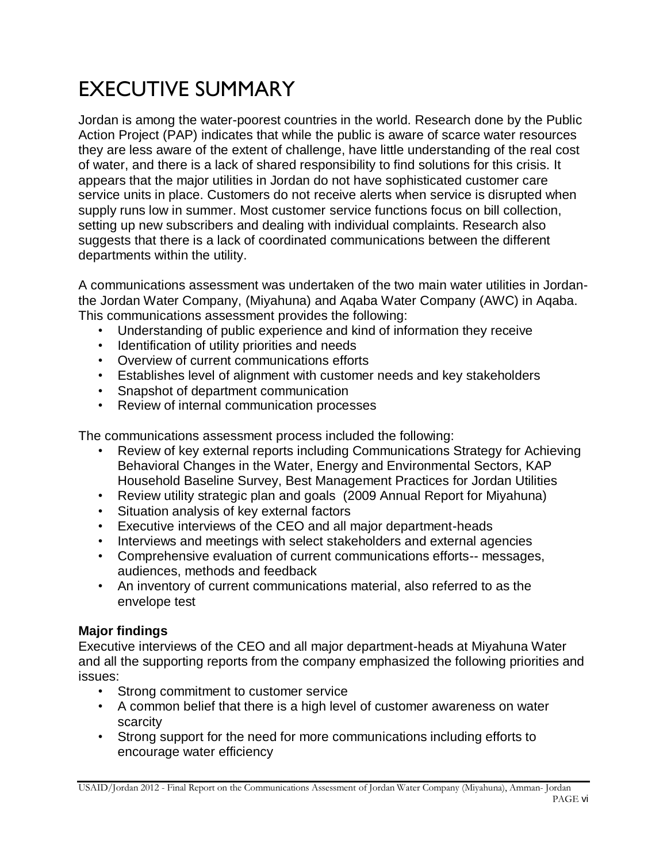# EXECUTIVE SUMMARY

Jordan is among the water-poorest countries in the world. Research done by the Public Action Project (PAP) indicates that while the public is aware of scarce water resources they are less aware of the extent of challenge, have little understanding of the real cost of water, and there is a lack of shared responsibility to find solutions for this crisis. It appears that the major utilities in Jordan do not have sophisticated customer care service units in place. Customers do not receive alerts when service is disrupted when supply runs low in summer. Most customer service functions focus on bill collection, setting up new subscribers and dealing with individual complaints. Research also suggests that there is a lack of coordinated communications between the different departments within the utility.

A communications assessment was undertaken of the two main water utilities in Jordanthe Jordan Water Company, (Miyahuna) and Aqaba Water Company (AWC) in Aqaba. This communications assessment provides the following:

- Understanding of public experience and kind of information they receive
- Identification of utility priorities and needs
- Overview of current communications efforts
- Establishes level of alignment with customer needs and key stakeholders
- Snapshot of department communication
- Review of internal communication processes

The communications assessment process included the following:

- Review of key external reports including Communications Strategy for Achieving Behavioral Changes in the Water, Energy and Environmental Sectors, KAP Household Baseline Survey, Best Management Practices for Jordan Utilities
- Review utility strategic plan and goals (2009 Annual Report for Miyahuna)
- Situation analysis of key external factors
- Executive interviews of the CEO and all major department-heads
- Interviews and meetings with select stakeholders and external agencies
- Comprehensive evaluation of current communications efforts-- messages, audiences, methods and feedback
- An inventory of current communications material, also referred to as the envelope test

#### **Major findings**

Executive interviews of the CEO and all major department-heads at Miyahuna Water and all the supporting reports from the company emphasized the following priorities and issues:

- Strong commitment to customer service
- A common belief that there is a high level of customer awareness on water scarcity
- Strong support for the need for more communications including efforts to encourage water efficiency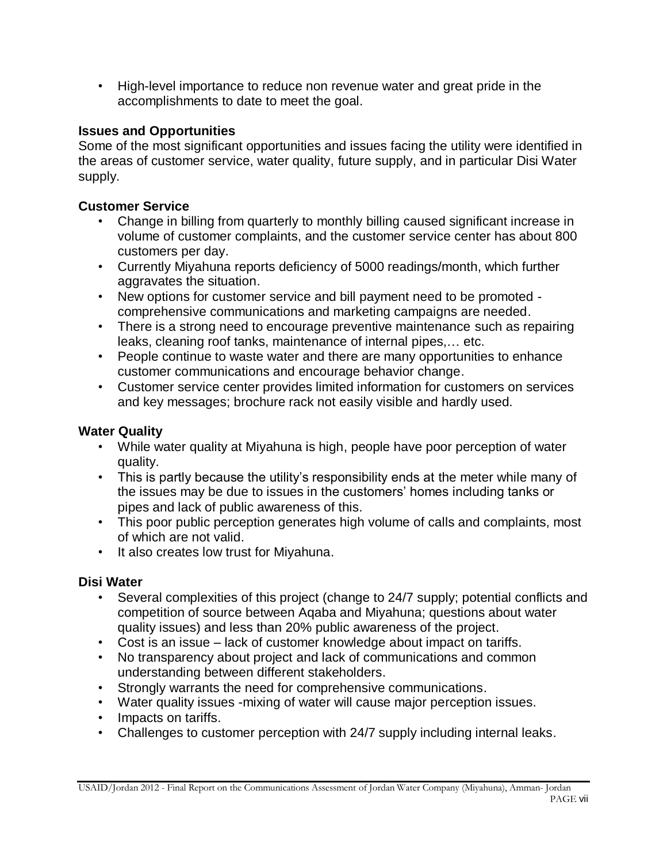• High-level importance to reduce non revenue water and great pride in the accomplishments to date to meet the goal.

# **Issues and Opportunities**

Some of the most significant opportunities and issues facing the utility were identified in the areas of customer service, water quality, future supply, and in particular Disi Water supply.

# **Customer Service**

- Change in billing from quarterly to monthly billing caused significant increase in volume of customer complaints, and the customer service center has about 800 customers per day.
- Currently Miyahuna reports deficiency of 5000 readings/month, which further aggravates the situation.
- New options for customer service and bill payment need to be promoted comprehensive communications and marketing campaigns are needed.
- There is a strong need to encourage preventive maintenance such as repairing leaks, cleaning roof tanks, maintenance of internal pipes,… etc.
- People continue to waste water and there are many opportunities to enhance customer communications and encourage behavior change.
- Customer service center provides limited information for customers on services and key messages; brochure rack not easily visible and hardly used.

# **Water Quality**

- While water quality at Miyahuna is high, people have poor perception of water quality.
- This is partly because the utility's responsibility ends at the meter while many of the issues may be due to issues in the customers' homes including tanks or pipes and lack of public awareness of this.
- This poor public perception generates high volume of calls and complaints, most of which are not valid.
- It also creates low trust for Miyahuna.

# **Disi Water**

- Several complexities of this project (change to 24/7 supply; potential conflicts and competition of source between Aqaba and Miyahuna; questions about water quality issues) and less than 20% public awareness of the project.
- Cost is an issue lack of customer knowledge about impact on tariffs.
- No transparency about project and lack of communications and common understanding between different stakeholders.
- Strongly warrants the need for comprehensive communications.
- Water quality issues -mixing of water will cause major perception issues.
- Impacts on tariffs.
- Challenges to customer perception with 24/7 supply including internal leaks.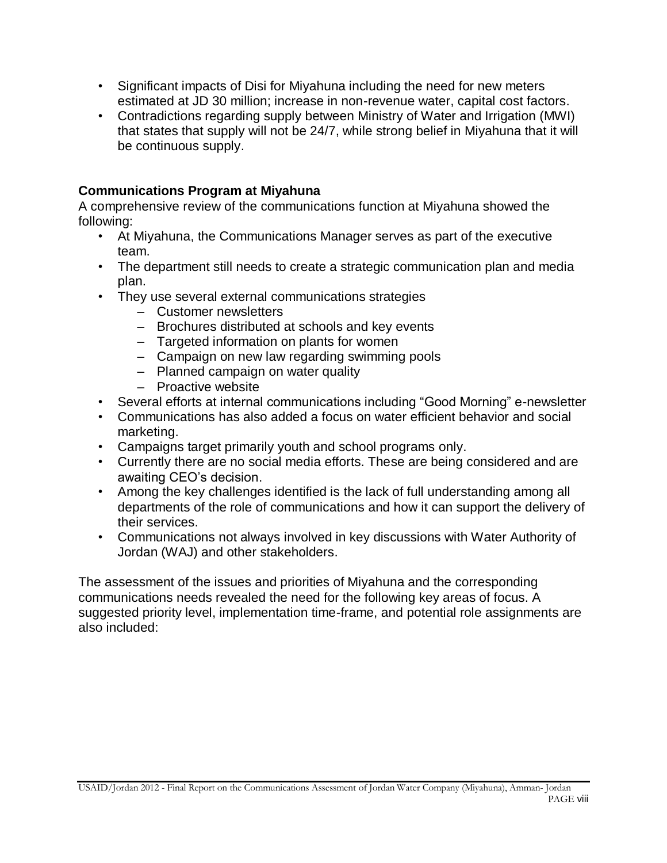- Significant impacts of Disi for Miyahuna including the need for new meters estimated at JD 30 million; increase in non-revenue water, capital cost factors.
- Contradictions regarding supply between Ministry of Water and Irrigation (MWI) that states that supply will not be 24/7, while strong belief in Miyahuna that it will be continuous supply.

# **Communications Program at Miyahuna**

A comprehensive review of the communications function at Miyahuna showed the following:

- At Miyahuna, the Communications Manager serves as part of the executive team.
- The department still needs to create a strategic communication plan and media plan.
- They use several external communications strategies
	- Customer newsletters
	- Brochures distributed at schools and key events
	- Targeted information on plants for women
	- Campaign on new law regarding swimming pools
	- Planned campaign on water quality
	- Proactive website
- Several efforts at internal communications including "Good Morning" e-newsletter
- Communications has also added a focus on water efficient behavior and social marketing.
- Campaigns target primarily youth and school programs only.
- Currently there are no social media efforts. These are being considered and are awaiting CEO's decision.
- Among the key challenges identified is the lack of full understanding among all departments of the role of communications and how it can support the delivery of their services.
- Communications not always involved in key discussions with Water Authority of Jordan (WAJ) and other stakeholders.

The assessment of the issues and priorities of Miyahuna and the corresponding communications needs revealed the need for the following key areas of focus. A suggested priority level, implementation time-frame, and potential role assignments are also included: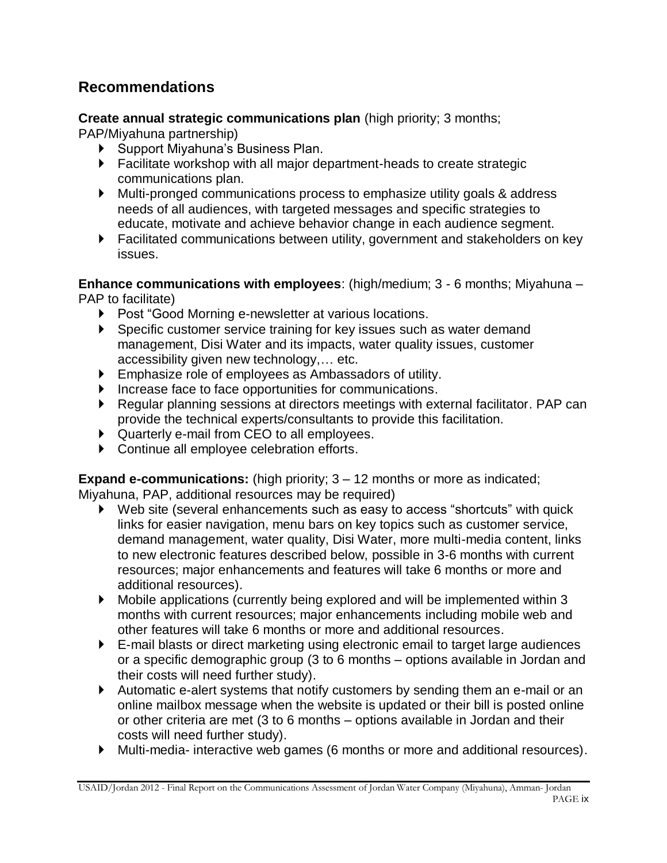# **Recommendations**

**Create annual strategic communications plan** (high priority; 3 months;

PAP/Miyahuna partnership)

- ▶ Support Miyahuna's Business Plan.
- Facilitate workshop with all major department-heads to create strategic communications plan.
- Multi-pronged communications process to emphasize utility goals & address needs of all audiences, with targeted messages and specific strategies to educate, motivate and achieve behavior change in each audience segment.
- Facilitated communications between utility, government and stakeholders on key issues.

**Enhance communications with employees**: (high/medium; 3 - 6 months; Miyahuna – PAP to facilitate)

- Post "Good Morning e-newsletter at various locations.
- Specific customer service training for key issues such as water demand management, Disi Water and its impacts, water quality issues, customer accessibility given new technology,… etc.
- Emphasize role of employees as Ambassadors of utility.
- Increase face to face opportunities for communications.
- Regular planning sessions at directors meetings with external facilitator. PAP can provide the technical experts/consultants to provide this facilitation.
- Quarterly e-mail from CEO to all employees.
- Continue all employee celebration efforts.

**Expand e-communications:** (high priority; 3 – 12 months or more as indicated; Miyahuna, PAP, additional resources may be required)

- Web site (several enhancements such as easy to access "shortcuts" with quick links for easier navigation, menu bars on key topics such as customer service, demand management, water quality, Disi Water, more multi-media content, links to new electronic features described below, possible in 3-6 months with current resources; major enhancements and features will take 6 months or more and additional resources).
- Mobile applications (currently being explored and will be implemented within 3 months with current resources; major enhancements including mobile web and other features will take 6 months or more and additional resources.
- E-mail blasts or direct marketing using electronic email to target large audiences or a specific demographic group (3 to 6 months – options available in Jordan and their costs will need further study).
- Automatic e-alert systems that notify customers by sending them an e-mail or an online mailbox message when the website is updated or their bill is posted online or other criteria are met (3 to 6 months – options available in Jordan and their costs will need further study).
- Multi-media- interactive web games (6 months or more and additional resources).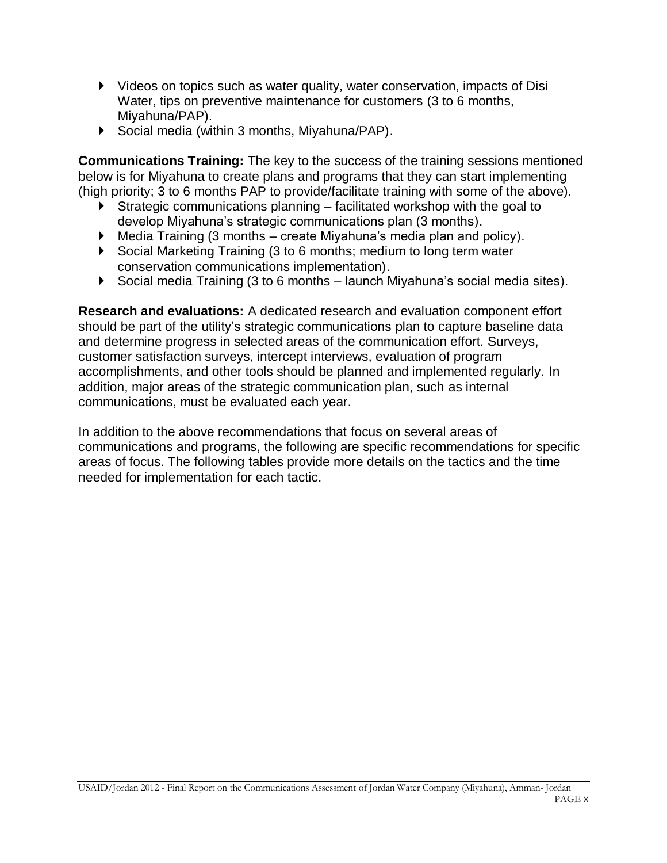- Videos on topics such as water quality, water conservation, impacts of Disi Water, tips on preventive maintenance for customers (3 to 6 months, Miyahuna/PAP).
- Social media (within 3 months, Miyahuna/PAP).

**Communications Training:** The key to the success of the training sessions mentioned below is for Miyahuna to create plans and programs that they can start implementing (high priority; 3 to 6 months PAP to provide/facilitate training with some of the above).

- $\triangleright$  Strategic communications planning facilitated workshop with the goal to develop Miyahuna's strategic communications plan (3 months).
- $\blacktriangleright$  Media Training (3 months create Miyahuna's media plan and policy).
- Social Marketing Training (3 to 6 months; medium to long term water conservation communications implementation).
- Social media Training (3 to 6 months launch Miyahuna's social media sites).

**Research and evaluations:** A dedicated research and evaluation component effort should be part of the utility's strategic communications plan to capture baseline data and determine progress in selected areas of the communication effort. Surveys, customer satisfaction surveys, intercept interviews, evaluation of program accomplishments, and other tools should be planned and implemented regularly. In addition, major areas of the strategic communication plan, such as internal communications, must be evaluated each year.

In addition to the above recommendations that focus on several areas of communications and programs, the following are specific recommendations for specific areas of focus. The following tables provide more details on the tactics and the time needed for implementation for each tactic.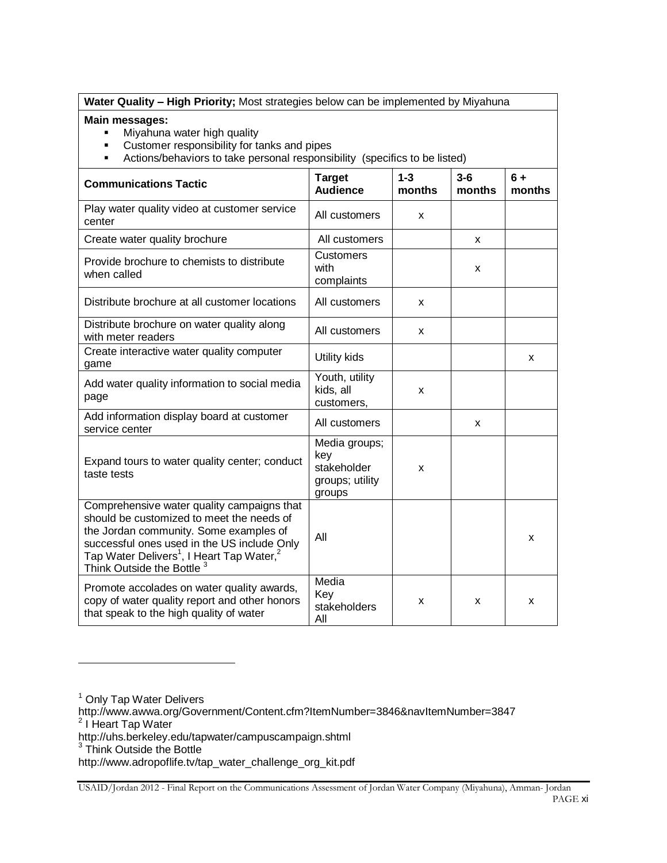| Water Quality - High Priority; Most strategies below can be implemented by Miyahuna                                                                                                                                                                                                            |                                                                  |   |   |   |  |  |  |
|------------------------------------------------------------------------------------------------------------------------------------------------------------------------------------------------------------------------------------------------------------------------------------------------|------------------------------------------------------------------|---|---|---|--|--|--|
| Main messages:<br>Miyahuna water high quality<br>$\blacksquare$<br>Customer responsibility for tanks and pipes<br>$\blacksquare$<br>Actions/behaviors to take personal responsibility (specifics to be listed)<br>$\blacksquare$                                                               |                                                                  |   |   |   |  |  |  |
| $1 - 3$<br><b>Target</b><br>$3-6$<br>$6+$<br><b>Communications Tactic</b><br><b>Audience</b><br>months<br>months<br>months                                                                                                                                                                     |                                                                  |   |   |   |  |  |  |
| Play water quality video at customer service<br>center                                                                                                                                                                                                                                         | All customers                                                    | X |   |   |  |  |  |
| Create water quality brochure                                                                                                                                                                                                                                                                  | All customers                                                    |   | X |   |  |  |  |
| Provide brochure to chemists to distribute<br>when called                                                                                                                                                                                                                                      | <b>Customers</b><br>with<br>complaints                           |   | x |   |  |  |  |
| Distribute brochure at all customer locations                                                                                                                                                                                                                                                  | All customers                                                    | x |   |   |  |  |  |
| Distribute brochure on water quality along<br>with meter readers                                                                                                                                                                                                                               | All customers                                                    | X |   |   |  |  |  |
| Create interactive water quality computer<br>game                                                                                                                                                                                                                                              | Utility kids                                                     |   |   | X |  |  |  |
| Add water quality information to social media<br>page                                                                                                                                                                                                                                          | Youth, utility<br>kids, all<br>customers,                        | x |   |   |  |  |  |
| Add information display board at customer<br>service center                                                                                                                                                                                                                                    | All customers                                                    |   | x |   |  |  |  |
| Expand tours to water quality center; conduct<br>taste tests                                                                                                                                                                                                                                   | Media groups;<br>key<br>stakeholder<br>groups; utility<br>groups | X |   |   |  |  |  |
| Comprehensive water quality campaigns that<br>should be customized to meet the needs of<br>the Jordan community. Some examples of<br>successful ones used in the US include Only<br>Tap Water Delivers <sup>1</sup> , I Heart Tap Water, <sup>2</sup><br>Think Outside the Bottle <sup>3</sup> | All                                                              |   |   | X |  |  |  |
| Promote accolades on water quality awards,<br>copy of water quality report and other honors<br>that speak to the high quality of water                                                                                                                                                         | Media<br>Key<br>stakeholders<br>All                              | x | X | X |  |  |  |

<sup>1</sup> Only Tap Water Delivers http://www.awwa.org/Government/Content.cfm?ItemNumber=3846&navItemNumber=3847<br><sup>2</sup> I Heart Tap Water http://uhs.berkeley.edu/tapwater/campuscampaign.shtml<br><sup>3</sup> Think Outside the Bottle http://www.adropoflife.tv/tap\_water\_challenge\_org\_kit.pdf

l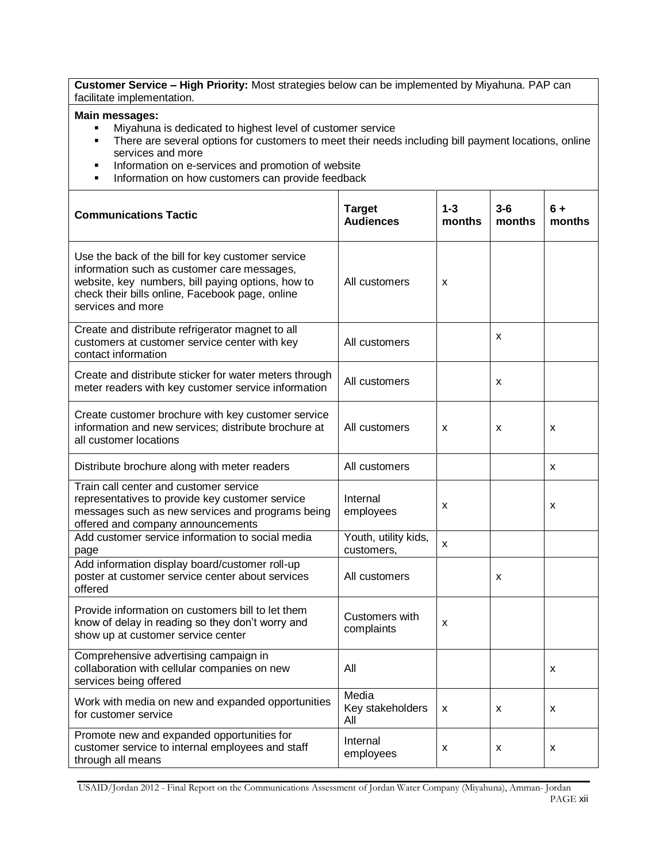**Customer Service – High Priority:** Most strategies below can be implemented by Miyahuna. PAP can facilitate implementation.

#### **Main messages:**

- Miyahuna is dedicated to highest level of customer service
- There are several options for customers to meet their needs including bill payment locations, online services and more
- **Information on e-services and promotion of website**
- **Information on how customers can provide feedback**

| <b>Communications Tactic</b>                                                                                                                                                                                                  | <b>Target</b><br><b>Audiences</b>  | $1 - 3$<br>months | $3 - 6$<br>months | 6 +<br>months |
|-------------------------------------------------------------------------------------------------------------------------------------------------------------------------------------------------------------------------------|------------------------------------|-------------------|-------------------|---------------|
| Use the back of the bill for key customer service<br>information such as customer care messages,<br>website, key numbers, bill paying options, how to<br>check their bills online, Facebook page, online<br>services and more | All customers                      | X                 |                   |               |
| Create and distribute refrigerator magnet to all<br>customers at customer service center with key<br>contact information                                                                                                      | All customers                      |                   | X                 |               |
| Create and distribute sticker for water meters through<br>meter readers with key customer service information                                                                                                                 | All customers                      |                   | х                 |               |
| Create customer brochure with key customer service<br>information and new services; distribute brochure at<br>all customer locations                                                                                          | All customers                      | X                 | X                 | X             |
| Distribute brochure along with meter readers                                                                                                                                                                                  | All customers                      |                   |                   | X             |
| Train call center and customer service<br>representatives to provide key customer service<br>messages such as new services and programs being<br>offered and company announcements                                            | Internal<br>employees              | х                 |                   | x             |
| Add customer service information to social media<br>page                                                                                                                                                                      | Youth, utility kids,<br>customers, | X                 |                   |               |
| Add information display board/customer roll-up<br>poster at customer service center about services<br>offered                                                                                                                 | All customers                      |                   | X                 |               |
| Provide information on customers bill to let them<br>know of delay in reading so they don't worry and<br>show up at customer service center                                                                                   | Customers with<br>complaints       | x                 |                   |               |
| Comprehensive advertising campaign in<br>collaboration with cellular companies on new<br>services being offered                                                                                                               | All                                |                   |                   | х             |
| Work with media on new and expanded opportunities<br>for customer service                                                                                                                                                     | Media<br>Key stakeholders<br>All   | X                 | Х                 | x             |
| Promote new and expanded opportunities for<br>customer service to internal employees and staff<br>through all means                                                                                                           | Internal<br>employees              | x                 | Х                 | x             |

USAID/Jordan 2012 - Final Report on the Communications Assessment of Jordan Water Company (Miyahuna), Amman- Jordan PAGE xii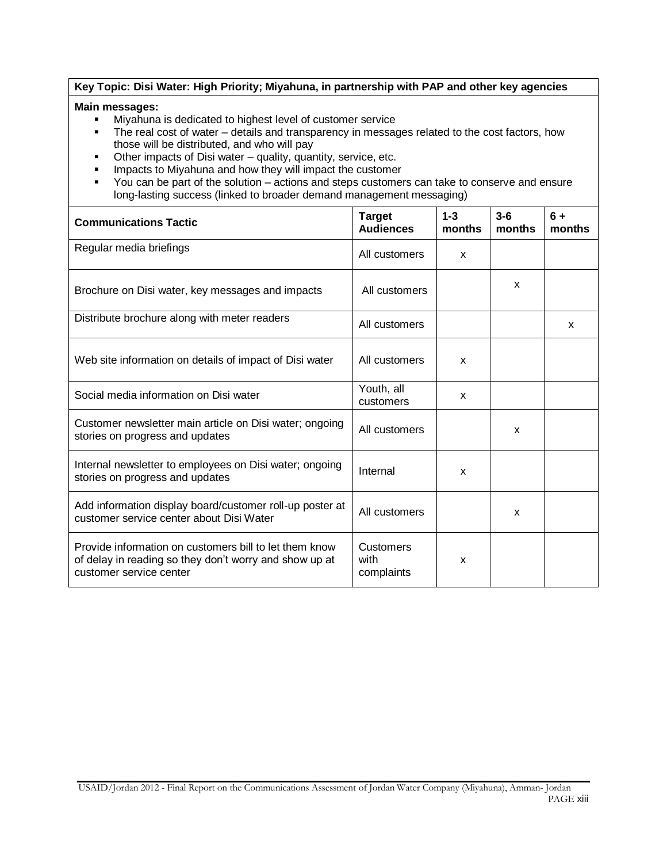#### **Key Topic: Disi Water: High Priority; Miyahuna, in partnership with PAP and other key agencies**

#### **Main messages:**

- Miyahuna is dedicated to highest level of customer service
- The real cost of water details and transparency in messages related to the cost factors, how those will be distributed, and who will pay
- Other impacts of Disi water quality, quantity, service, etc.
- **IMPACTS TO MIXALUTE 2018 12 IMPACT AT AN IMPACT STATE IMPACTS**
- You can be part of the solution actions and steps customers can take to conserve and ensure long-lasting success (linked to broader demand management messaging)

| <b>Communications Tactic</b>                                                                                                                | <b>Target</b><br><b>Audiences</b>      | $1 - 3$<br>months | $3-6$<br>months | $6+$<br>months |
|---------------------------------------------------------------------------------------------------------------------------------------------|----------------------------------------|-------------------|-----------------|----------------|
| Regular media briefings                                                                                                                     | All customers                          | X                 |                 |                |
| Brochure on Disi water, key messages and impacts                                                                                            | All customers                          |                   | X               |                |
| Distribute brochure along with meter readers                                                                                                | All customers                          |                   |                 | X              |
| Web site information on details of impact of Disi water                                                                                     | All customers                          | x                 |                 |                |
| Social media information on Disi water                                                                                                      | Youth, all<br>customers                | X                 |                 |                |
| Customer newsletter main article on Disi water; ongoing<br>stories on progress and updates                                                  | All customers                          |                   | X               |                |
| Internal newsletter to employees on Disi water; ongoing<br>stories on progress and updates                                                  | Internal                               | X                 |                 |                |
| Add information display board/customer roll-up poster at<br>customer service center about Disi Water                                        | All customers                          |                   | $\mathsf{x}$    |                |
| Provide information on customers bill to let them know<br>of delay in reading so they don't worry and show up at<br>customer service center | <b>Customers</b><br>with<br>complaints | X                 |                 |                |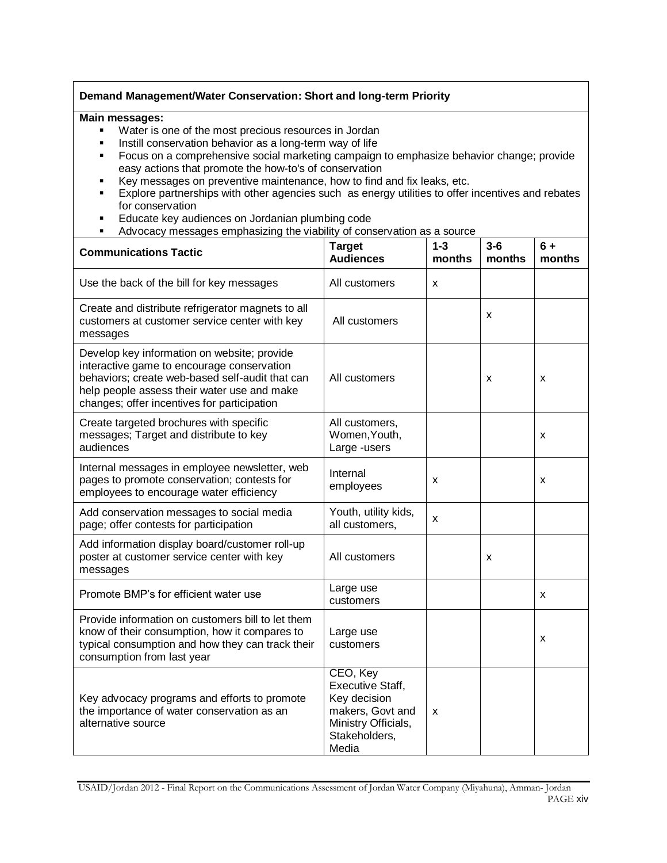#### **Demand Management/Water Conservation: Short and long-term Priority**

#### **Main messages:**

- Water is one of the most precious resources in Jordan<br>■ Instill conservation behavior as a long-term way of life
- Instill conservation behavior as a long-term way of life
- **Focus on a comprehensive social marketing campaign to emphasize behavior change; provide** easy actions that promote the how-to's of conservation
- Key messages on preventive maintenance, how to find and fix leaks, etc.
- **Explore partnerships with other agencies such as energy utilities to offer incentives and rebates** for conservation
- Educate key audiences on Jordanian plumbing code
- Advocacy messages emphasizing the viability of conservation as a source

| <b>Communications Tactic</b>                                                                                                                                                                                                               | <b>Target</b><br><b>Audiences</b>                                                                                 | $1 - 3$<br>months | $3-6$<br>months | $6+$<br>months |
|--------------------------------------------------------------------------------------------------------------------------------------------------------------------------------------------------------------------------------------------|-------------------------------------------------------------------------------------------------------------------|-------------------|-----------------|----------------|
| Use the back of the bill for key messages                                                                                                                                                                                                  | All customers                                                                                                     | X                 |                 |                |
| Create and distribute refrigerator magnets to all<br>customers at customer service center with key<br>messages                                                                                                                             | All customers                                                                                                     |                   | x               |                |
| Develop key information on website; provide<br>interactive game to encourage conservation<br>behaviors; create web-based self-audit that can<br>help people assess their water use and make<br>changes; offer incentives for participation | All customers                                                                                                     |                   | x               | X              |
| Create targeted brochures with specific<br>messages; Target and distribute to key<br>audiences                                                                                                                                             | All customers,<br>Women, Youth,<br>Large -users                                                                   |                   |                 | x              |
| Internal messages in employee newsletter, web<br>pages to promote conservation; contests for<br>employees to encourage water efficiency                                                                                                    | Internal<br>employees                                                                                             | X                 |                 | x              |
| Add conservation messages to social media<br>page; offer contests for participation                                                                                                                                                        | Youth, utility kids,<br>all customers,                                                                            | X                 |                 |                |
| Add information display board/customer roll-up<br>poster at customer service center with key<br>messages                                                                                                                                   | All customers                                                                                                     |                   | x               |                |
| Promote BMP's for efficient water use                                                                                                                                                                                                      | Large use<br>customers                                                                                            |                   |                 | x              |
| Provide information on customers bill to let them<br>know of their consumption, how it compares to<br>typical consumption and how they can track their<br>consumption from last year                                                       | Large use<br>customers                                                                                            |                   |                 | x              |
| Key advocacy programs and efforts to promote<br>the importance of water conservation as an<br>alternative source                                                                                                                           | CEO, Key<br>Executive Staff,<br>Key decision<br>makers, Govt and<br>Ministry Officials,<br>Stakeholders,<br>Media | X                 |                 |                |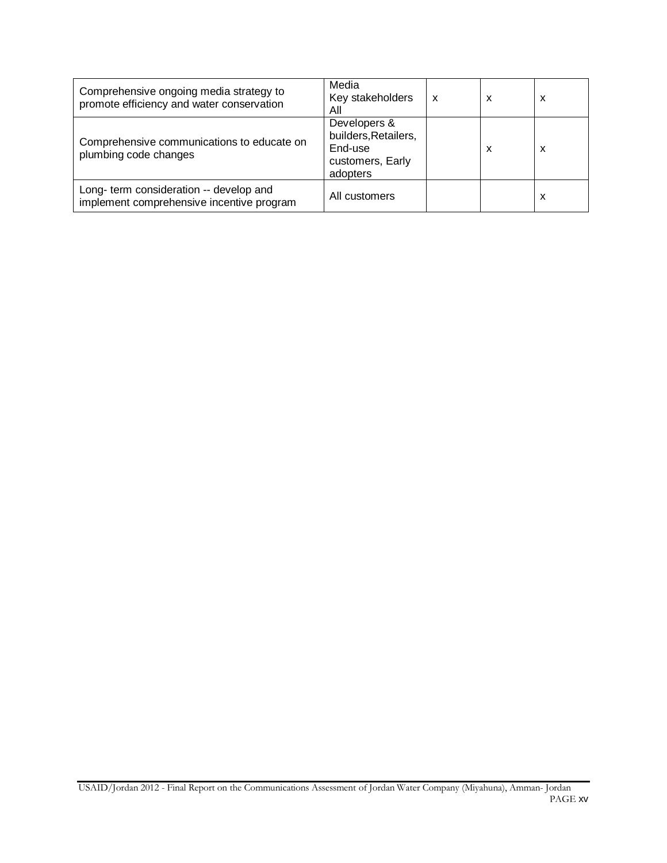| Comprehensive ongoing media strategy to<br>promote efficiency and water conservation | Media<br>Key stakeholders<br>Αll                                                | x | x | x |
|--------------------------------------------------------------------------------------|---------------------------------------------------------------------------------|---|---|---|
| Comprehensive communications to educate on<br>plumbing code changes                  | Developers &<br>builders, Retailers,<br>End-use<br>customers, Early<br>adopters |   | x | x |
| Long- term consideration -- develop and<br>implement comprehensive incentive program | All customers                                                                   |   |   | X |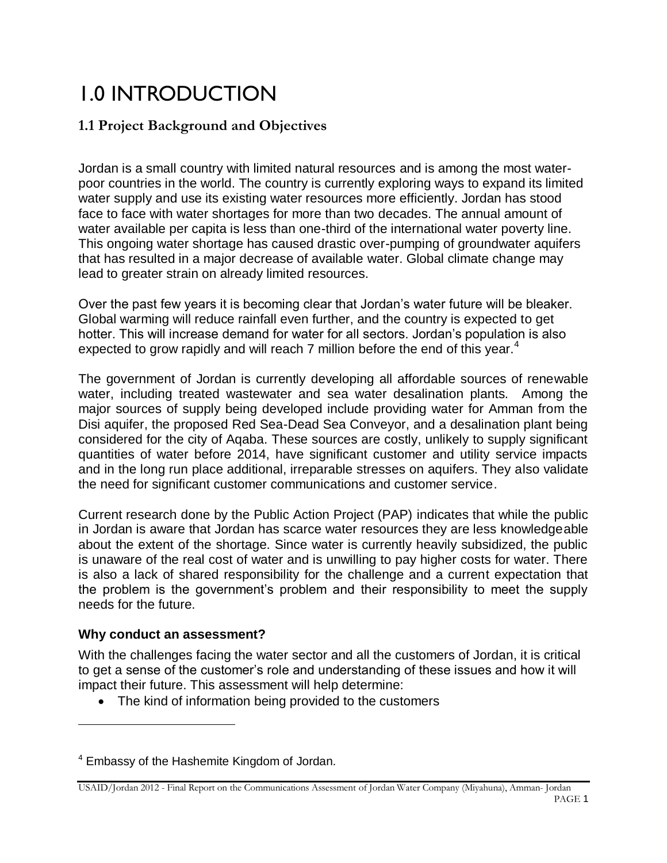# 1.0 INTRODUCTION

# **1.1 Project Background and Objectives**

Jordan is a small country with limited natural resources and is among the most waterpoor countries in the world. The country is currently exploring ways to expand its limited water supply and use its existing water resources more efficiently. Jordan has stood face to face with water shortages for more than two decades. The annual amount of water available per capita is less than one-third of the international water poverty line. This ongoing water shortage has caused drastic over-pumping of groundwater aquifers that has resulted in a major decrease of available water. Global climate change may lead to greater strain on already limited resources.

Over the past few years it is becoming clear that Jordan's water future will be bleaker. Global warming will reduce rainfall even further, and the country is expected to get hotter. This will increase demand for water for all sectors. Jordan's population is also expected to grow rapidly and will reach 7 million before the end of this year.<sup>4</sup>

The government of Jordan is currently developing all affordable sources of renewable water, including treated wastewater and sea water desalination plants. Among the major sources of supply being developed include providing water for Amman from the Disi aquifer, the proposed Red Sea-Dead Sea Conveyor, and a desalination plant being considered for the city of Aqaba. These sources are costly, unlikely to supply significant quantities of water before 2014, have significant customer and utility service impacts and in the long run place additional, irreparable stresses on aquifers. They also validate the need for significant customer communications and customer service.

Current research done by the Public Action Project (PAP) indicates that while the public in Jordan is aware that Jordan has scarce water resources they are less knowledgeable about the extent of the shortage. Since water is currently heavily subsidized, the public is unaware of the real cost of water and is unwilling to pay higher costs for water. There is also a lack of shared responsibility for the challenge and a current expectation that the problem is the government's problem and their responsibility to meet the supply needs for the future.

## **Why conduct an assessment?**

l

With the challenges facing the water sector and all the customers of Jordan, it is critical to get a sense of the customer's role and understanding of these issues and how it will impact their future. This assessment will help determine:

• The kind of information being provided to the customers

<sup>4</sup> Embassy of the Hashemite Kingdom of Jordan.

USAID/Jordan 2012 - Final Report on the Communications Assessment of Jordan Water Company (Miyahuna), Amman- Jordan PAGE 1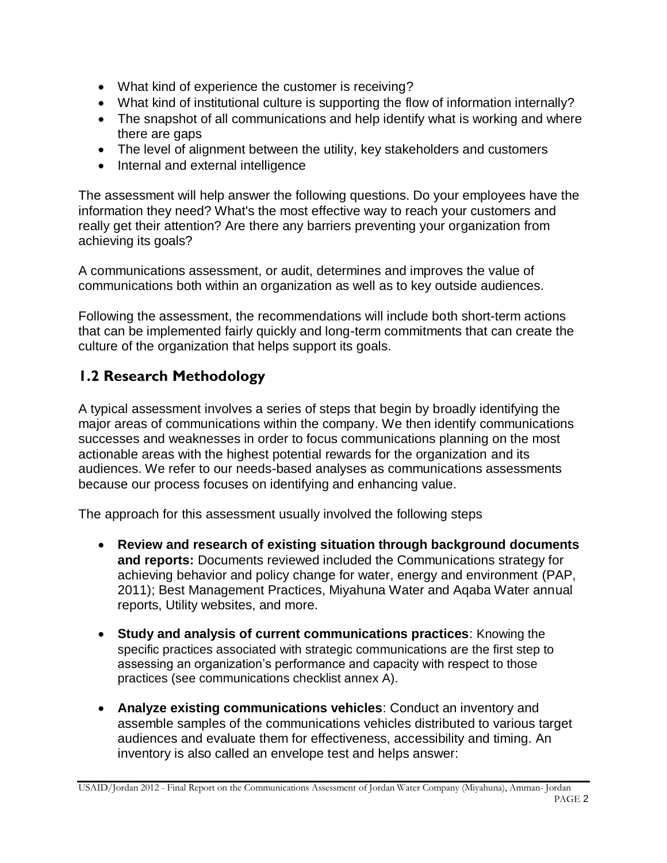- What kind of experience the customer is receiving?
- What kind of institutional culture is supporting the flow of information internally?
- The snapshot of all communications and help identify what is working and where there are gaps
- The level of alignment between the utility, key stakeholders and customers
- Internal and external intelligence

The assessment will help answer the following questions. Do your employees have the information they need? What's the most effective way to reach your customers and really get their attention? Are there any barriers preventing your organization from achieving its goals?

A communications assessment, or audit, determines and improves the value of communications both within an organization as well as to key outside audiences.

Following the assessment, the recommendations will include both short-term actions that can be implemented fairly quickly and long-term commitments that can create the culture of the organization that helps support its goals.

# **1.2 Research Methodology**

A typical assessment involves a series of steps that begin by broadly identifying the major areas of communications within the company. We then identify communications successes and weaknesses in order to focus communications planning on the most actionable areas with the highest potential rewards for the organization and its audiences. We refer to our needs-based analyses as communications assessments because our process focuses on identifying and enhancing value.

The approach for this assessment usually involved the following steps

- **Review and research of existing situation through background documents and reports:** Documents reviewed included the Communications strategy for achieving behavior and policy change for water, energy and environment (PAP, 2011); Best Management Practices, Miyahuna Water and Aqaba Water annual reports, Utility websites, and more.
- **Study and analysis of current communications practices**: Knowing the specific practices associated with strategic communications are the first step to assessing an organization's performance and capacity with respect to those practices (see communications checklist annex A).
- **Analyze existing communications vehicles**: Conduct an inventory and assemble samples of the communications vehicles distributed to various target audiences and evaluate them for effectiveness, accessibility and timing. An inventory is also called an envelope test and helps answer: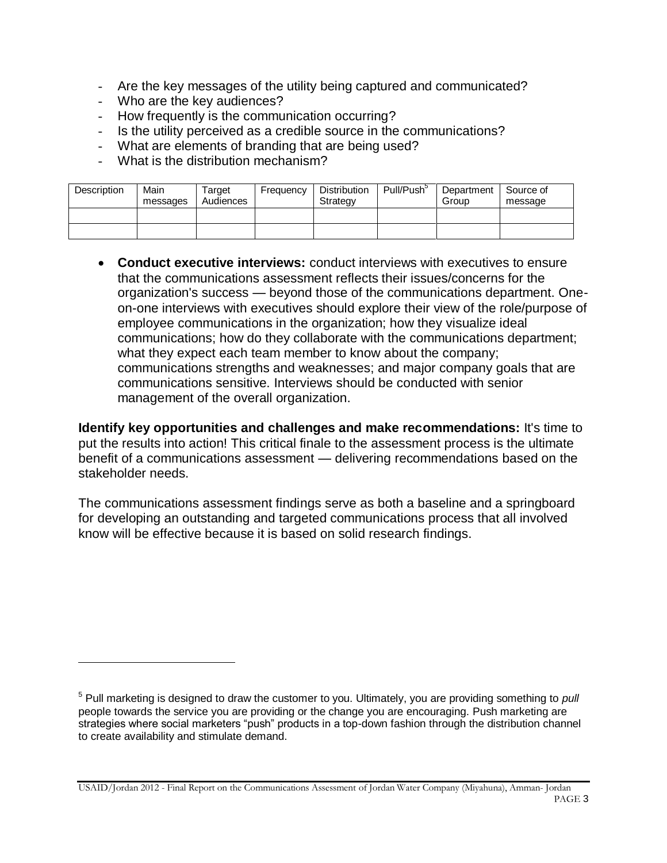- Are the key messages of the utility being captured and communicated?
- Who are the key audiences?

l

- How frequently is the communication occurring?
- Is the utility perceived as a credible source in the communications?
- What are elements of branding that are being used?
- What is the distribution mechanism?

| Description | Main<br>messages | Target<br>Audiences | Frequency | <b>Distribution</b><br>Strategy | Pull/Push <sup>3</sup> | Department<br>Group | Source of<br>message |
|-------------|------------------|---------------------|-----------|---------------------------------|------------------------|---------------------|----------------------|
|             |                  |                     |           |                                 |                        |                     |                      |
|             |                  |                     |           |                                 |                        |                     |                      |

 **Conduct executive interviews:** conduct interviews with executives to ensure that the communications assessment reflects their issues/concerns for the organization's success — beyond those of the communications department. Oneon-one interviews with executives should explore their view of the role/purpose of employee communications in the organization; how they visualize ideal communications; how do they collaborate with the communications department; what they expect each team member to know about the company; communications strengths and weaknesses; and major company goals that are communications sensitive. Interviews should be conducted with senior management of the overall organization.

**Identify key opportunities and challenges and make recommendations:** It's time to put the results into action! This critical finale to the assessment process is the ultimate benefit of a communications assessment — delivering recommendations based on the stakeholder needs.

The communications assessment findings serve as both a baseline and a springboard for developing an outstanding and targeted communications process that all involved know will be effective because it is based on solid research findings.

<sup>5</sup> Pull marketing is designed to draw the customer to you. Ultimately, you are providing something to *pull* people towards the service you are providing or the change you are encouraging. Push marketing are strategies where social marketers "push" products in a top-down fashion through the distribution channel to create availability and stimulate demand.

USAID/Jordan 2012 - Final Report on the Communications Assessment of Jordan Water Company (Miyahuna), Amman- Jordan PAGE 3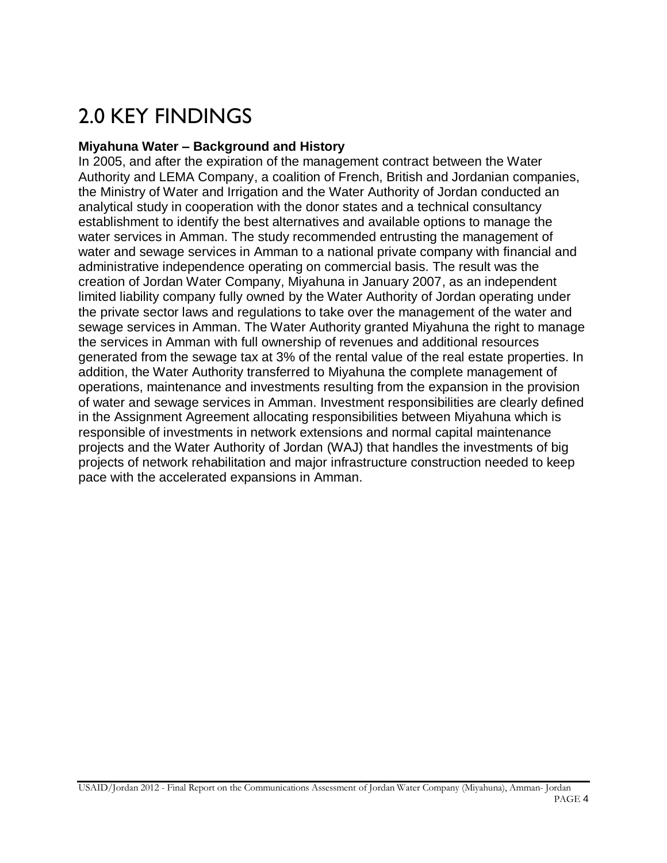# 2.0 KEY FINDINGS

### **Miyahuna Water – Background and History**

In 2005, and after the expiration of the management contract between the Water Authority and LEMA Company, a coalition of French, British and Jordanian companies, the Ministry of Water and Irrigation and the Water Authority of Jordan conducted an analytical study in cooperation with the donor states and a technical consultancy establishment to identify the best alternatives and available options to manage the water services in Amman. The study recommended entrusting the management of water and sewage services in Amman to a national private company with financial and administrative independence operating on commercial basis. The result was the creation of Jordan Water Company, Miyahuna in January 2007, as an independent limited liability company fully owned by the Water Authority of Jordan operating under the private sector laws and regulations to take over the management of the water and sewage services in Amman. The Water Authority granted Miyahuna the right to manage the services in Amman with full ownership of revenues and additional resources generated from the sewage tax at 3% of the rental value of the real estate properties. In addition, the Water Authority transferred to Miyahuna the complete management of operations, maintenance and investments resulting from the expansion in the provision of water and sewage services in Amman. Investment responsibilities are clearly defined in the Assignment Agreement allocating responsibilities between Miyahuna which is responsible of investments in network extensions and normal capital maintenance projects and the Water Authority of Jordan (WAJ) that handles the investments of big projects of network rehabilitation and major infrastructure construction needed to keep pace with the accelerated expansions in Amman.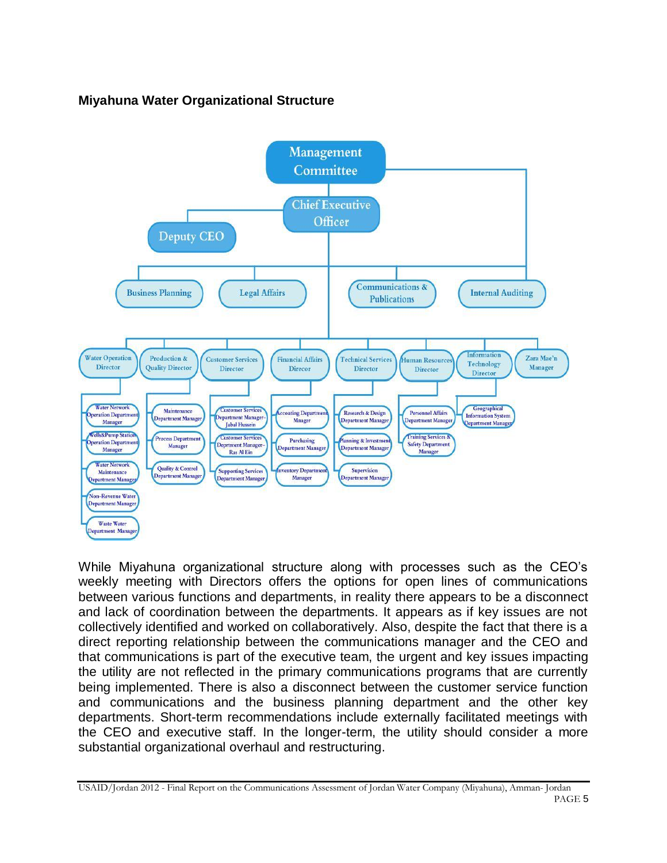# **Miyahuna Water Organizational Structure**



While Miyahuna organizational structure along with processes such as the CEO's weekly meeting with Directors offers the options for open lines of communications between various functions and departments, in reality there appears to be a disconnect and lack of coordination between the departments. It appears as if key issues are not collectively identified and worked on collaboratively. Also, despite the fact that there is a direct reporting relationship between the communications manager and the CEO and that communications is part of the executive team, the urgent and key issues impacting the utility are not reflected in the primary communications programs that are currently being implemented. There is also a disconnect between the customer service function and communications and the business planning department and the other key departments. Short-term recommendations include externally facilitated meetings with the CEO and executive staff. In the longer-term, the utility should consider a more substantial organizational overhaul and restructuring.

USAID/Jordan 2012 - Final Report on the Communications Assessment of Jordan Water Company (Miyahuna), Amman- Jordan PAGE 5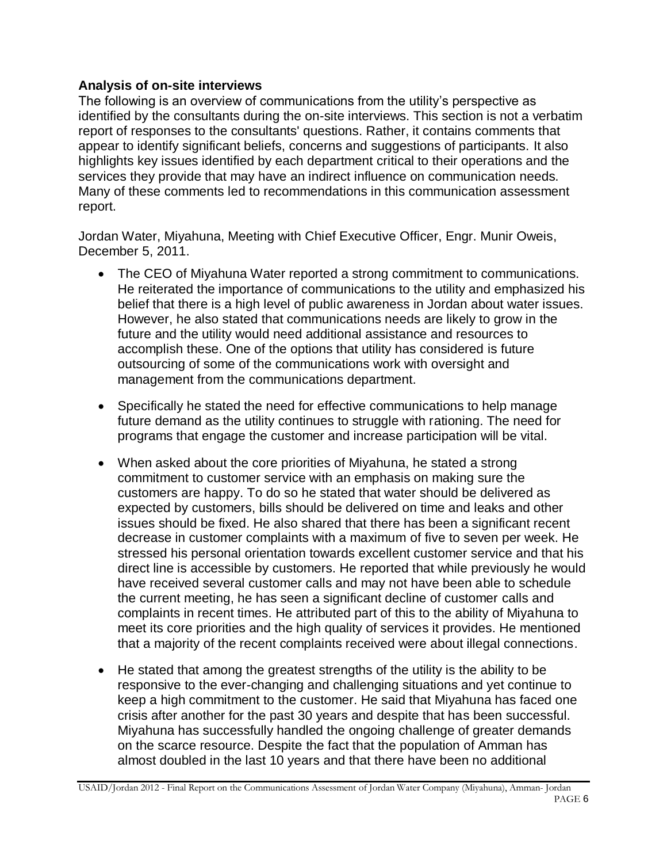### **Analysis of on-site interviews**

The following is an overview of communications from the utility's perspective as identified by the consultants during the on-site interviews. This section is not a verbatim report of responses to the consultants' questions. Rather, it contains comments that appear to identify significant beliefs, concerns and suggestions of participants. It also highlights key issues identified by each department critical to their operations and the services they provide that may have an indirect influence on communication needs. Many of these comments led to recommendations in this communication assessment report.

Jordan Water, Miyahuna, Meeting with Chief Executive Officer, Engr. Munir Oweis, December 5, 2011.

- The CEO of Miyahuna Water reported a strong commitment to communications. He reiterated the importance of communications to the utility and emphasized his belief that there is a high level of public awareness in Jordan about water issues. However, he also stated that communications needs are likely to grow in the future and the utility would need additional assistance and resources to accomplish these. One of the options that utility has considered is future outsourcing of some of the communications work with oversight and management from the communications department.
- Specifically he stated the need for effective communications to help manage future demand as the utility continues to struggle with rationing. The need for programs that engage the customer and increase participation will be vital.
- When asked about the core priorities of Miyahuna, he stated a strong commitment to customer service with an emphasis on making sure the customers are happy. To do so he stated that water should be delivered as expected by customers, bills should be delivered on time and leaks and other issues should be fixed. He also shared that there has been a significant recent decrease in customer complaints with a maximum of five to seven per week. He stressed his personal orientation towards excellent customer service and that his direct line is accessible by customers. He reported that while previously he would have received several customer calls and may not have been able to schedule the current meeting, he has seen a significant decline of customer calls and complaints in recent times. He attributed part of this to the ability of Miyahuna to meet its core priorities and the high quality of services it provides. He mentioned that a majority of the recent complaints received were about illegal connections.
- He stated that among the greatest strengths of the utility is the ability to be responsive to the ever-changing and challenging situations and yet continue to keep a high commitment to the customer. He said that Miyahuna has faced one crisis after another for the past 30 years and despite that has been successful. Miyahuna has successfully handled the ongoing challenge of greater demands on the scarce resource. Despite the fact that the population of Amman has almost doubled in the last 10 years and that there have been no additional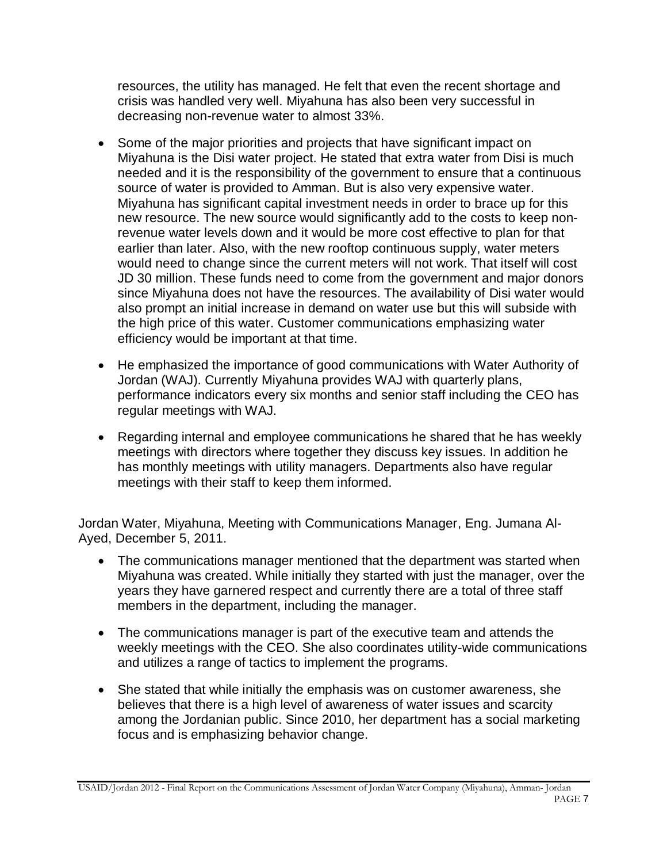resources, the utility has managed. He felt that even the recent shortage and crisis was handled very well. Miyahuna has also been very successful in decreasing non-revenue water to almost 33%.

- Some of the major priorities and projects that have significant impact on Miyahuna is the Disi water project. He stated that extra water from Disi is much needed and it is the responsibility of the government to ensure that a continuous source of water is provided to Amman. But is also very expensive water. Miyahuna has significant capital investment needs in order to brace up for this new resource. The new source would significantly add to the costs to keep nonrevenue water levels down and it would be more cost effective to plan for that earlier than later. Also, with the new rooftop continuous supply, water meters would need to change since the current meters will not work. That itself will cost JD 30 million. These funds need to come from the government and major donors since Miyahuna does not have the resources. The availability of Disi water would also prompt an initial increase in demand on water use but this will subside with the high price of this water. Customer communications emphasizing water efficiency would be important at that time.
- He emphasized the importance of good communications with Water Authority of Jordan (WAJ). Currently Miyahuna provides WAJ with quarterly plans, performance indicators every six months and senior staff including the CEO has regular meetings with WAJ.
- Regarding internal and employee communications he shared that he has weekly meetings with directors where together they discuss key issues. In addition he has monthly meetings with utility managers. Departments also have regular meetings with their staff to keep them informed.

Jordan Water, Miyahuna, Meeting with Communications Manager, Eng. Jumana Al-Ayed, December 5, 2011.

- The communications manager mentioned that the department was started when Miyahuna was created. While initially they started with just the manager, over the years they have garnered respect and currently there are a total of three staff members in the department, including the manager.
- The communications manager is part of the executive team and attends the weekly meetings with the CEO. She also coordinates utility-wide communications and utilizes a range of tactics to implement the programs.
- She stated that while initially the emphasis was on customer awareness, she believes that there is a high level of awareness of water issues and scarcity among the Jordanian public. Since 2010, her department has a social marketing focus and is emphasizing behavior change.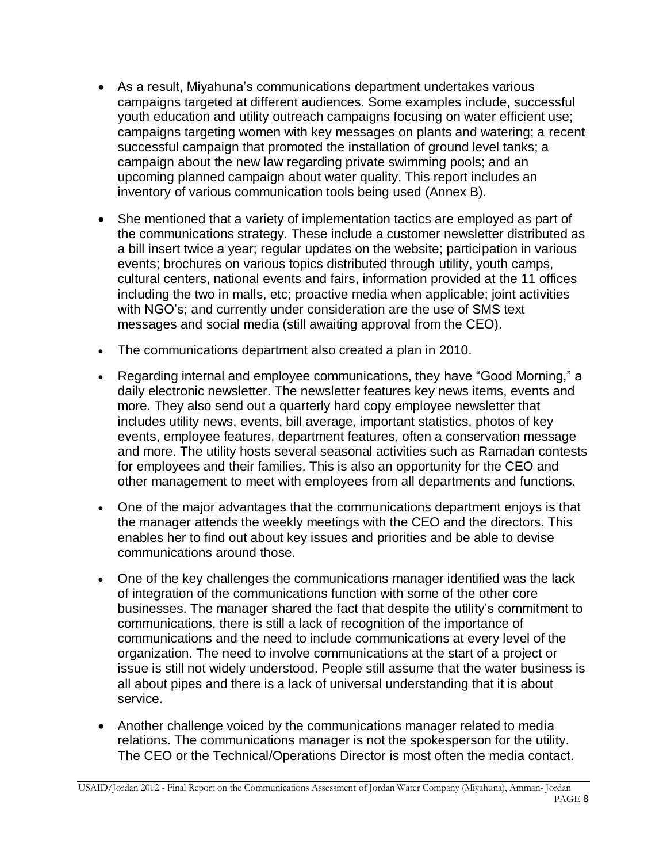- As a result, Miyahuna's communications department undertakes various campaigns targeted at different audiences. Some examples include, successful youth education and utility outreach campaigns focusing on water efficient use; campaigns targeting women with key messages on plants and watering; a recent successful campaign that promoted the installation of ground level tanks; a campaign about the new law regarding private swimming pools; and an upcoming planned campaign about water quality. This report includes an inventory of various communication tools being used (Annex B).
- She mentioned that a variety of implementation tactics are employed as part of the communications strategy. These include a customer newsletter distributed as a bill insert twice a year; regular updates on the website; participation in various events; brochures on various topics distributed through utility, youth camps, cultural centers, national events and fairs, information provided at the 11 offices including the two in malls, etc; proactive media when applicable; joint activities with NGO's; and currently under consideration are the use of SMS text messages and social media (still awaiting approval from the CEO).
- The communications department also created a plan in 2010.
- Regarding internal and employee communications, they have "Good Morning," a daily electronic newsletter. The newsletter features key news items, events and more. They also send out a quarterly hard copy employee newsletter that includes utility news, events, bill average, important statistics, photos of key events, employee features, department features, often a conservation message and more. The utility hosts several seasonal activities such as Ramadan contests for employees and their families. This is also an opportunity for the CEO and other management to meet with employees from all departments and functions.
- One of the major advantages that the communications department enjoys is that the manager attends the weekly meetings with the CEO and the directors. This enables her to find out about key issues and priorities and be able to devise communications around those.
- One of the key challenges the communications manager identified was the lack of integration of the communications function with some of the other core businesses. The manager shared the fact that despite the utility's commitment to communications, there is still a lack of recognition of the importance of communications and the need to include communications at every level of the organization. The need to involve communications at the start of a project or issue is still not widely understood. People still assume that the water business is all about pipes and there is a lack of universal understanding that it is about service.
- Another challenge voiced by the communications manager related to media relations. The communications manager is not the spokesperson for the utility. The CEO or the Technical/Operations Director is most often the media contact.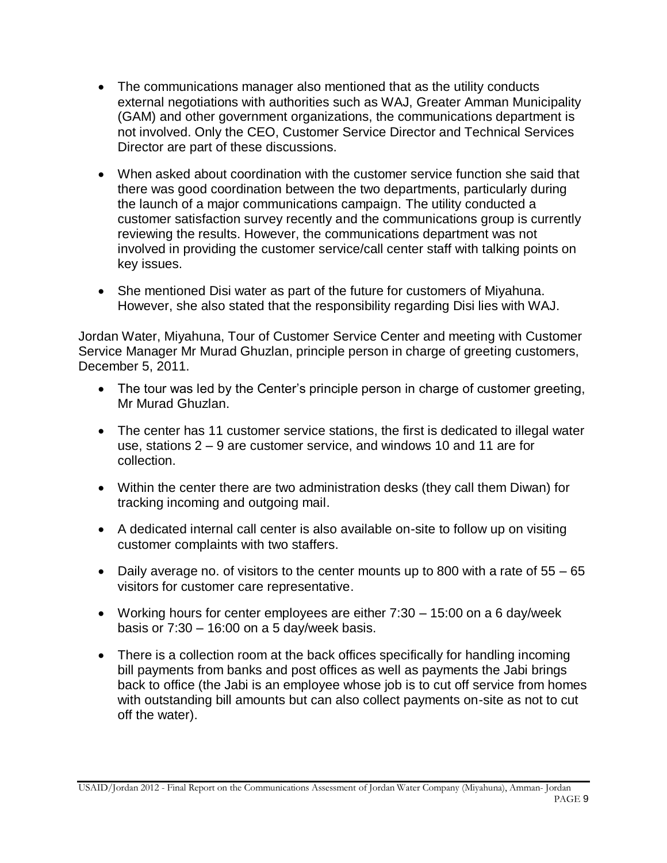- The communications manager also mentioned that as the utility conducts external negotiations with authorities such as WAJ, Greater Amman Municipality (GAM) and other government organizations, the communications department is not involved. Only the CEO, Customer Service Director and Technical Services Director are part of these discussions.
- When asked about coordination with the customer service function she said that there was good coordination between the two departments, particularly during the launch of a major communications campaign. The utility conducted a customer satisfaction survey recently and the communications group is currently reviewing the results. However, the communications department was not involved in providing the customer service/call center staff with talking points on key issues.
- She mentioned Disi water as part of the future for customers of Miyahuna. However, she also stated that the responsibility regarding Disi lies with WAJ.

Jordan Water, Miyahuna, Tour of Customer Service Center and meeting with Customer Service Manager Mr Murad Ghuzlan, principle person in charge of greeting customers, December 5, 2011.

- The tour was led by the Center's principle person in charge of customer greeting, Mr Murad Ghuzlan.
- The center has 11 customer service stations, the first is dedicated to illegal water use, stations 2 – 9 are customer service, and windows 10 and 11 are for collection.
- Within the center there are two administration desks (they call them Diwan) for tracking incoming and outgoing mail.
- A dedicated internal call center is also available on-site to follow up on visiting customer complaints with two staffers.
- Daily average no. of visitors to the center mounts up to 800 with a rate of 55 65 visitors for customer care representative.
- Working hours for center employees are either 7:30 15:00 on a 6 day/week basis or  $7:30 - 16:00$  on a 5 day/week basis.
- There is a collection room at the back offices specifically for handling incoming bill payments from banks and post offices as well as payments the Jabi brings back to office (the Jabi is an employee whose job is to cut off service from homes with outstanding bill amounts but can also collect payments on-site as not to cut off the water).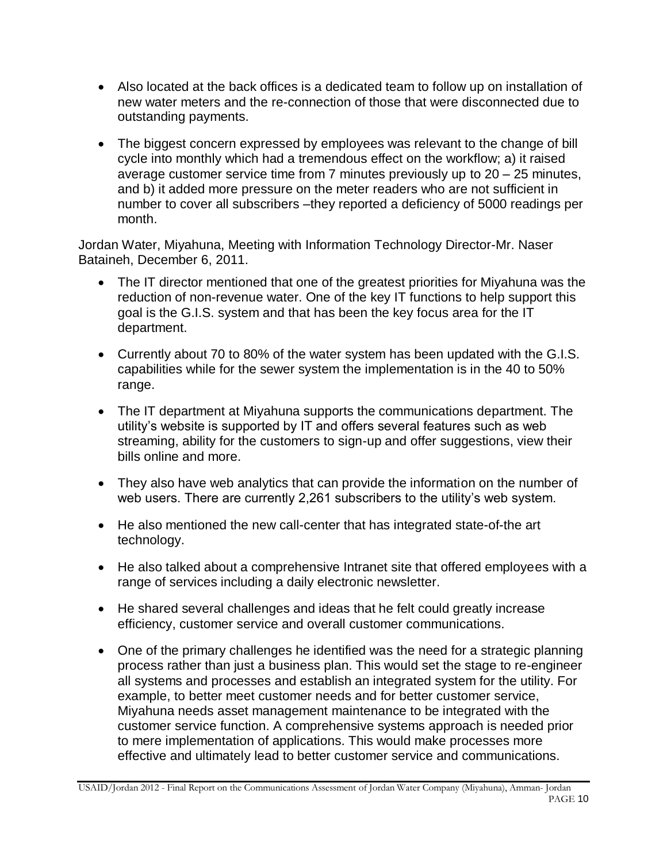- Also located at the back offices is a dedicated team to follow up on installation of new water meters and the re-connection of those that were disconnected due to outstanding payments.
- The biggest concern expressed by employees was relevant to the change of bill cycle into monthly which had a tremendous effect on the workflow; a) it raised average customer service time from 7 minutes previously up to 20 – 25 minutes, and b) it added more pressure on the meter readers who are not sufficient in number to cover all subscribers –they reported a deficiency of 5000 readings per month.

Jordan Water, Miyahuna, Meeting with Information Technology Director-Mr. Naser Bataineh, December 6, 2011.

- The IT director mentioned that one of the greatest priorities for Miyahuna was the reduction of non-revenue water. One of the key IT functions to help support this goal is the G.I.S. system and that has been the key focus area for the IT department.
- Currently about 70 to 80% of the water system has been updated with the G.I.S. capabilities while for the sewer system the implementation is in the 40 to 50% range.
- The IT department at Miyahuna supports the communications department. The utility's website is supported by IT and offers several features such as web streaming, ability for the customers to sign-up and offer suggestions, view their bills online and more.
- They also have web analytics that can provide the information on the number of web users. There are currently 2,261 subscribers to the utility's web system.
- He also mentioned the new call-center that has integrated state-of-the art technology.
- He also talked about a comprehensive Intranet site that offered employees with a range of services including a daily electronic newsletter.
- He shared several challenges and ideas that he felt could greatly increase efficiency, customer service and overall customer communications.
- One of the primary challenges he identified was the need for a strategic planning process rather than just a business plan. This would set the stage to re-engineer all systems and processes and establish an integrated system for the utility. For example, to better meet customer needs and for better customer service, Miyahuna needs asset management maintenance to be integrated with the customer service function. A comprehensive systems approach is needed prior to mere implementation of applications. This would make processes more effective and ultimately lead to better customer service and communications.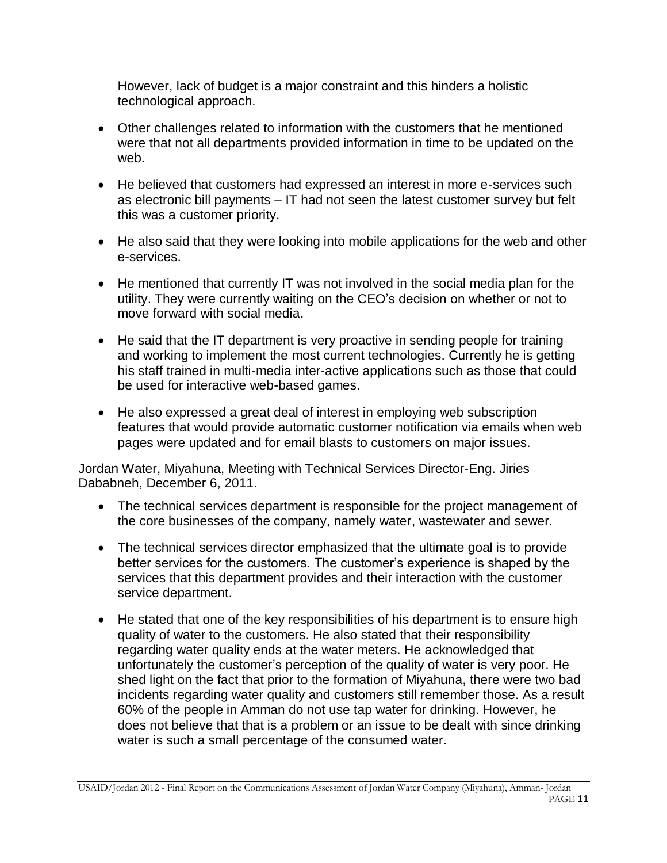However, lack of budget is a major constraint and this hinders a holistic technological approach.

- Other challenges related to information with the customers that he mentioned were that not all departments provided information in time to be updated on the web.
- He believed that customers had expressed an interest in more e-services such as electronic bill payments – IT had not seen the latest customer survey but felt this was a customer priority.
- He also said that they were looking into mobile applications for the web and other e-services.
- He mentioned that currently IT was not involved in the social media plan for the utility. They were currently waiting on the CEO's decision on whether or not to move forward with social media.
- He said that the IT department is very proactive in sending people for training and working to implement the most current technologies. Currently he is getting his staff trained in multi-media inter-active applications such as those that could be used for interactive web-based games.
- He also expressed a great deal of interest in employing web subscription features that would provide automatic customer notification via emails when web pages were updated and for email blasts to customers on major issues.

Jordan Water, Miyahuna, Meeting with Technical Services Director-Eng. Jiries Dababneh, December 6, 2011.

- The technical services department is responsible for the project management of the core businesses of the company, namely water, wastewater and sewer.
- The technical services director emphasized that the ultimate goal is to provide better services for the customers. The customer's experience is shaped by the services that this department provides and their interaction with the customer service department.
- He stated that one of the key responsibilities of his department is to ensure high quality of water to the customers. He also stated that their responsibility regarding water quality ends at the water meters. He acknowledged that unfortunately the customer's perception of the quality of water is very poor. He shed light on the fact that prior to the formation of Miyahuna, there were two bad incidents regarding water quality and customers still remember those. As a result 60% of the people in Amman do not use tap water for drinking. However, he does not believe that that is a problem or an issue to be dealt with since drinking water is such a small percentage of the consumed water.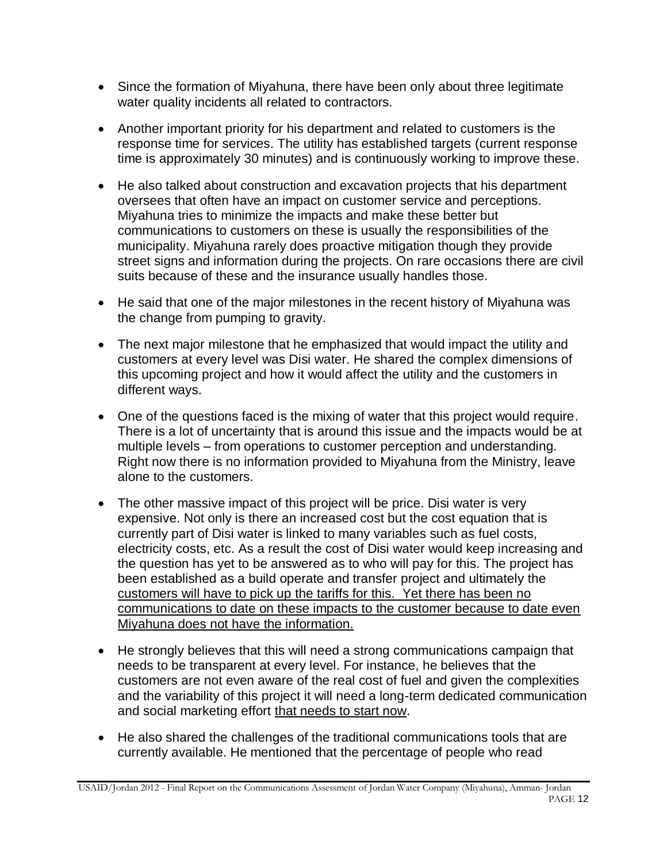- Since the formation of Miyahuna, there have been only about three legitimate water quality incidents all related to contractors.
- Another important priority for his department and related to customers is the response time for services. The utility has established targets (current response time is approximately 30 minutes) and is continuously working to improve these.
- He also talked about construction and excavation projects that his department oversees that often have an impact on customer service and perceptions. Miyahuna tries to minimize the impacts and make these better but communications to customers on these is usually the responsibilities of the municipality. Miyahuna rarely does proactive mitigation though they provide street signs and information during the projects. On rare occasions there are civil suits because of these and the insurance usually handles those.
- He said that one of the major milestones in the recent history of Miyahuna was the change from pumping to gravity.
- The next major milestone that he emphasized that would impact the utility and customers at every level was Disi water. He shared the complex dimensions of this upcoming project and how it would affect the utility and the customers in different ways.
- One of the questions faced is the mixing of water that this project would require. There is a lot of uncertainty that is around this issue and the impacts would be at multiple levels – from operations to customer perception and understanding. Right now there is no information provided to Miyahuna from the Ministry, leave alone to the customers.
- The other massive impact of this project will be price. Disi water is very expensive. Not only is there an increased cost but the cost equation that is currently part of Disi water is linked to many variables such as fuel costs, electricity costs, etc. As a result the cost of Disi water would keep increasing and the question has yet to be answered as to who will pay for this. The project has been established as a build operate and transfer project and ultimately the customers will have to pick up the tariffs for this. Yet there has been no communications to date on these impacts to the customer because to date even Miyahuna does not have the information.
- He strongly believes that this will need a strong communications campaign that needs to be transparent at every level. For instance, he believes that the customers are not even aware of the real cost of fuel and given the complexities and the variability of this project it will need a long-term dedicated communication and social marketing effort that needs to start now.
- He also shared the challenges of the traditional communications tools that are currently available. He mentioned that the percentage of people who read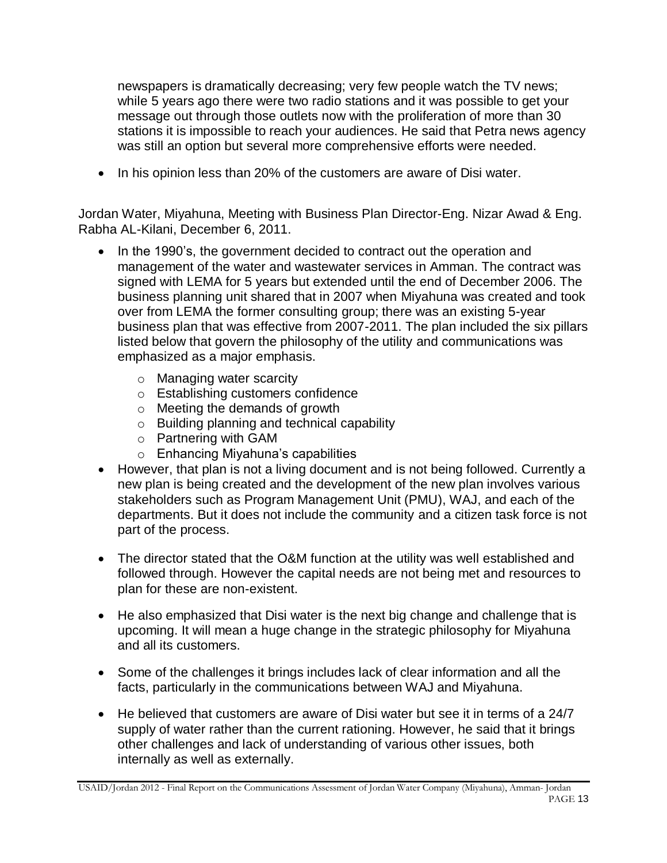newspapers is dramatically decreasing; very few people watch the TV news; while 5 years ago there were two radio stations and it was possible to get your message out through those outlets now with the proliferation of more than 30 stations it is impossible to reach your audiences. He said that Petra news agency was still an option but several more comprehensive efforts were needed.

• In his opinion less than 20% of the customers are aware of Disi water.

Jordan Water, Miyahuna, Meeting with Business Plan Director-Eng. Nizar Awad & Eng. Rabha AL-Kilani, December 6, 2011.

- In the 1990's, the government decided to contract out the operation and management of the water and wastewater services in Amman. The contract was signed with LEMA for 5 years but extended until the end of December 2006. The business planning unit shared that in 2007 when Miyahuna was created and took over from LEMA the former consulting group; there was an existing 5-year business plan that was effective from 2007-2011. The plan included the six pillars listed below that govern the philosophy of the utility and communications was emphasized as a major emphasis.
	- o Managing water scarcity
	- o Establishing customers confidence
	- o Meeting the demands of growth
	- o Building planning and technical capability
	- o Partnering with GAM
	- o Enhancing Miyahuna's capabilities
- However, that plan is not a living document and is not being followed. Currently a new plan is being created and the development of the new plan involves various stakeholders such as Program Management Unit (PMU), WAJ, and each of the departments. But it does not include the community and a citizen task force is not part of the process.
- The director stated that the O&M function at the utility was well established and followed through. However the capital needs are not being met and resources to plan for these are non-existent.
- He also emphasized that Disi water is the next big change and challenge that is upcoming. It will mean a huge change in the strategic philosophy for Miyahuna and all its customers.
- Some of the challenges it brings includes lack of clear information and all the facts, particularly in the communications between WAJ and Miyahuna.
- He believed that customers are aware of Disi water but see it in terms of a 24/7 supply of water rather than the current rationing. However, he said that it brings other challenges and lack of understanding of various other issues, both internally as well as externally.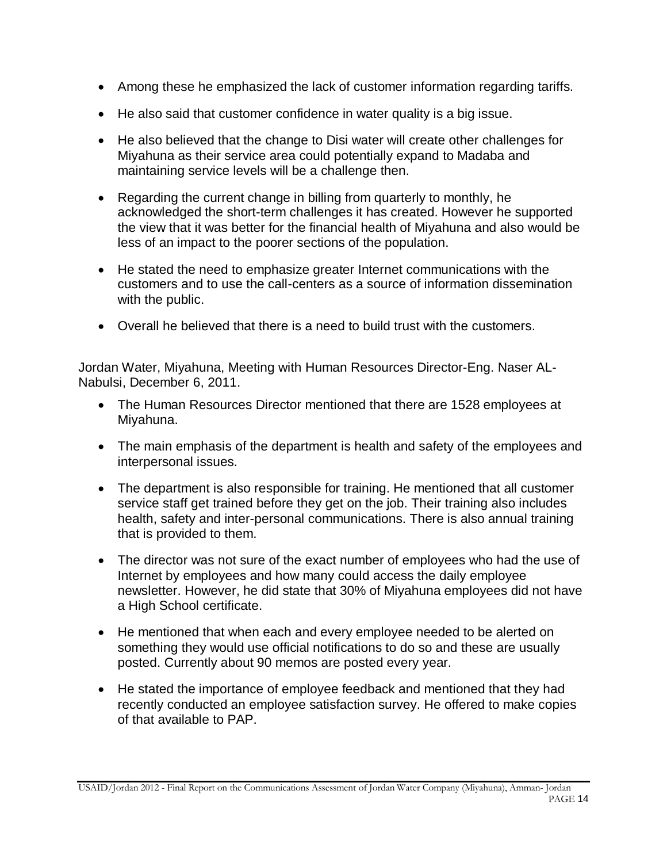- Among these he emphasized the lack of customer information regarding tariffs.
- He also said that customer confidence in water quality is a big issue.
- He also believed that the change to Disi water will create other challenges for Miyahuna as their service area could potentially expand to Madaba and maintaining service levels will be a challenge then.
- Regarding the current change in billing from quarterly to monthly, he acknowledged the short-term challenges it has created. However he supported the view that it was better for the financial health of Miyahuna and also would be less of an impact to the poorer sections of the population.
- He stated the need to emphasize greater Internet communications with the customers and to use the call-centers as a source of information dissemination with the public.
- Overall he believed that there is a need to build trust with the customers.

Jordan Water, Miyahuna, Meeting with Human Resources Director-Eng. Naser AL-Nabulsi, December 6, 2011.

- The Human Resources Director mentioned that there are 1528 employees at Miyahuna.
- The main emphasis of the department is health and safety of the employees and interpersonal issues.
- The department is also responsible for training. He mentioned that all customer service staff get trained before they get on the job. Their training also includes health, safety and inter-personal communications. There is also annual training that is provided to them.
- The director was not sure of the exact number of employees who had the use of Internet by employees and how many could access the daily employee newsletter. However, he did state that 30% of Miyahuna employees did not have a High School certificate.
- He mentioned that when each and every employee needed to be alerted on something they would use official notifications to do so and these are usually posted. Currently about 90 memos are posted every year.
- He stated the importance of employee feedback and mentioned that they had recently conducted an employee satisfaction survey. He offered to make copies of that available to PAP.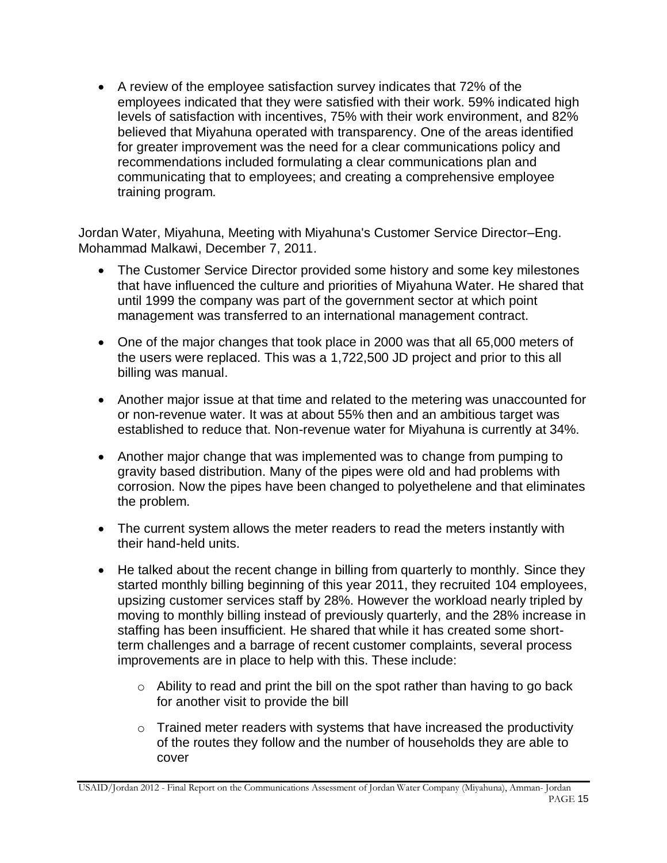A review of the employee satisfaction survey indicates that 72% of the employees indicated that they were satisfied with their work. 59% indicated high levels of satisfaction with incentives, 75% with their work environment, and 82% believed that Miyahuna operated with transparency. One of the areas identified for greater improvement was the need for a clear communications policy and recommendations included formulating a clear communications plan and communicating that to employees; and creating a comprehensive employee training program.

Jordan Water, Miyahuna, Meeting with Miyahuna's Customer Service Director–Eng. Mohammad Malkawi, December 7, 2011.

- The Customer Service Director provided some history and some key milestones that have influenced the culture and priorities of Miyahuna Water. He shared that until 1999 the company was part of the government sector at which point management was transferred to an international management contract.
- One of the major changes that took place in 2000 was that all 65,000 meters of the users were replaced. This was a 1,722,500 JD project and prior to this all billing was manual.
- Another major issue at that time and related to the metering was unaccounted for or non-revenue water. It was at about 55% then and an ambitious target was established to reduce that. Non-revenue water for Miyahuna is currently at 34%.
- Another major change that was implemented was to change from pumping to gravity based distribution. Many of the pipes were old and had problems with corrosion. Now the pipes have been changed to polyethelene and that eliminates the problem.
- The current system allows the meter readers to read the meters instantly with their hand-held units.
- He talked about the recent change in billing from quarterly to monthly. Since they started monthly billing beginning of this year 2011, they recruited 104 employees, upsizing customer services staff by 28%. However the workload nearly tripled by moving to monthly billing instead of previously quarterly, and the 28% increase in staffing has been insufficient. He shared that while it has created some shortterm challenges and a barrage of recent customer complaints, several process improvements are in place to help with this. These include:
	- o Ability to read and print the bill on the spot rather than having to go back for another visit to provide the bill
	- $\circ$  Trained meter readers with systems that have increased the productivity of the routes they follow and the number of households they are able to cover

USAID/Jordan 2012 - Final Report on the Communications Assessment of Jordan Water Company (Miyahuna), Amman- Jordan PAGE 15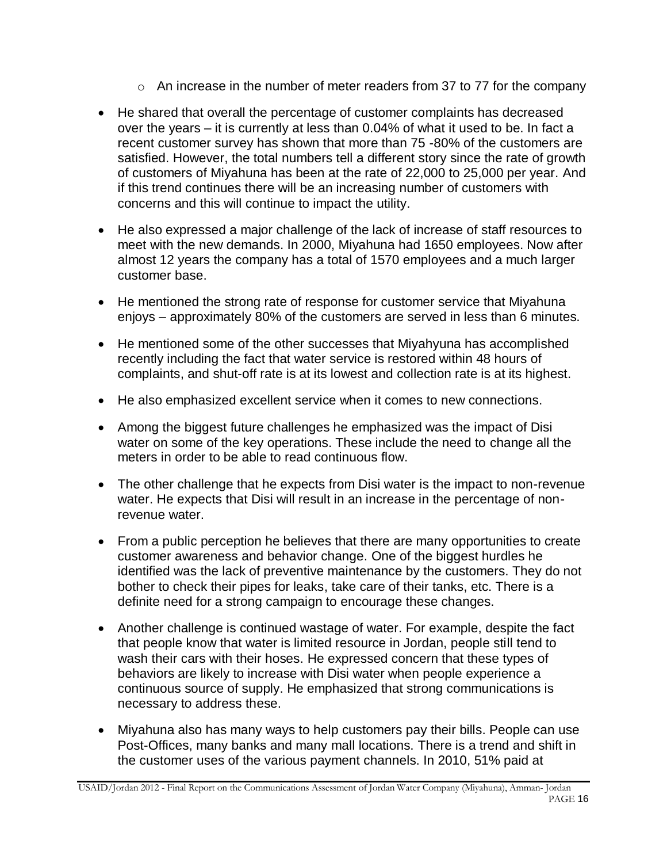- $\circ$  An increase in the number of meter readers from 37 to 77 for the company
- He shared that overall the percentage of customer complaints has decreased over the years – it is currently at less than 0.04% of what it used to be. In fact a recent customer survey has shown that more than 75 -80% of the customers are satisfied. However, the total numbers tell a different story since the rate of growth of customers of Miyahuna has been at the rate of 22,000 to 25,000 per year. And if this trend continues there will be an increasing number of customers with concerns and this will continue to impact the utility.
- He also expressed a major challenge of the lack of increase of staff resources to meet with the new demands. In 2000, Miyahuna had 1650 employees. Now after almost 12 years the company has a total of 1570 employees and a much larger customer base.
- He mentioned the strong rate of response for customer service that Miyahuna enjoys – approximately 80% of the customers are served in less than 6 minutes.
- He mentioned some of the other successes that Miyahyuna has accomplished recently including the fact that water service is restored within 48 hours of complaints, and shut-off rate is at its lowest and collection rate is at its highest.
- He also emphasized excellent service when it comes to new connections.
- Among the biggest future challenges he emphasized was the impact of Disi water on some of the key operations. These include the need to change all the meters in order to be able to read continuous flow.
- The other challenge that he expects from Disi water is the impact to non-revenue water. He expects that Disi will result in an increase in the percentage of nonrevenue water.
- From a public perception he believes that there are many opportunities to create customer awareness and behavior change. One of the biggest hurdles he identified was the lack of preventive maintenance by the customers. They do not bother to check their pipes for leaks, take care of their tanks, etc. There is a definite need for a strong campaign to encourage these changes.
- Another challenge is continued wastage of water. For example, despite the fact that people know that water is limited resource in Jordan, people still tend to wash their cars with their hoses. He expressed concern that these types of behaviors are likely to increase with Disi water when people experience a continuous source of supply. He emphasized that strong communications is necessary to address these.
- Miyahuna also has many ways to help customers pay their bills. People can use Post-Offices, many banks and many mall locations. There is a trend and shift in the customer uses of the various payment channels. In 2010, 51% paid at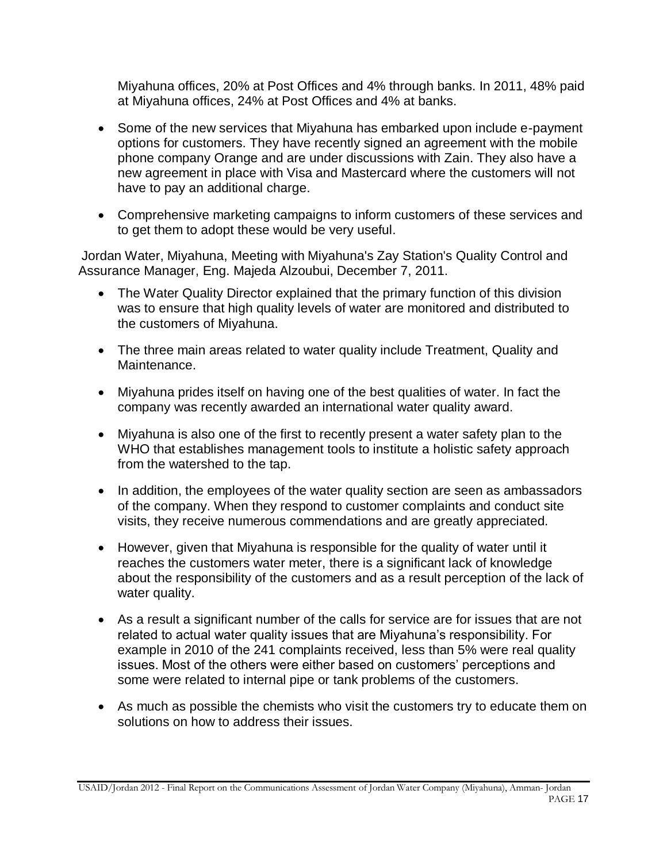Miyahuna offices, 20% at Post Offices and 4% through banks. In 2011, 48% paid at Miyahuna offices, 24% at Post Offices and 4% at banks.

- Some of the new services that Miyahuna has embarked upon include e-payment options for customers. They have recently signed an agreement with the mobile phone company Orange and are under discussions with Zain. They also have a new agreement in place with Visa and Mastercard where the customers will not have to pay an additional charge.
- Comprehensive marketing campaigns to inform customers of these services and to get them to adopt these would be very useful.

Jordan Water, Miyahuna, Meeting with Miyahuna's Zay Station's Quality Control and Assurance Manager, Eng. Majeda Alzoubui, December 7, 2011.

- The Water Quality Director explained that the primary function of this division was to ensure that high quality levels of water are monitored and distributed to the customers of Miyahuna.
- The three main areas related to water quality include Treatment, Quality and Maintenance.
- Miyahuna prides itself on having one of the best qualities of water. In fact the company was recently awarded an international water quality award.
- Miyahuna is also one of the first to recently present a water safety plan to the WHO that establishes management tools to institute a holistic safety approach from the watershed to the tap.
- In addition, the employees of the water quality section are seen as ambassadors of the company. When they respond to customer complaints and conduct site visits, they receive numerous commendations and are greatly appreciated.
- However, given that Miyahuna is responsible for the quality of water until it reaches the customers water meter, there is a significant lack of knowledge about the responsibility of the customers and as a result perception of the lack of water quality.
- As a result a significant number of the calls for service are for issues that are not related to actual water quality issues that are Miyahuna's responsibility. For example in 2010 of the 241 complaints received, less than 5% were real quality issues. Most of the others were either based on customers' perceptions and some were related to internal pipe or tank problems of the customers.
- As much as possible the chemists who visit the customers try to educate them on solutions on how to address their issues.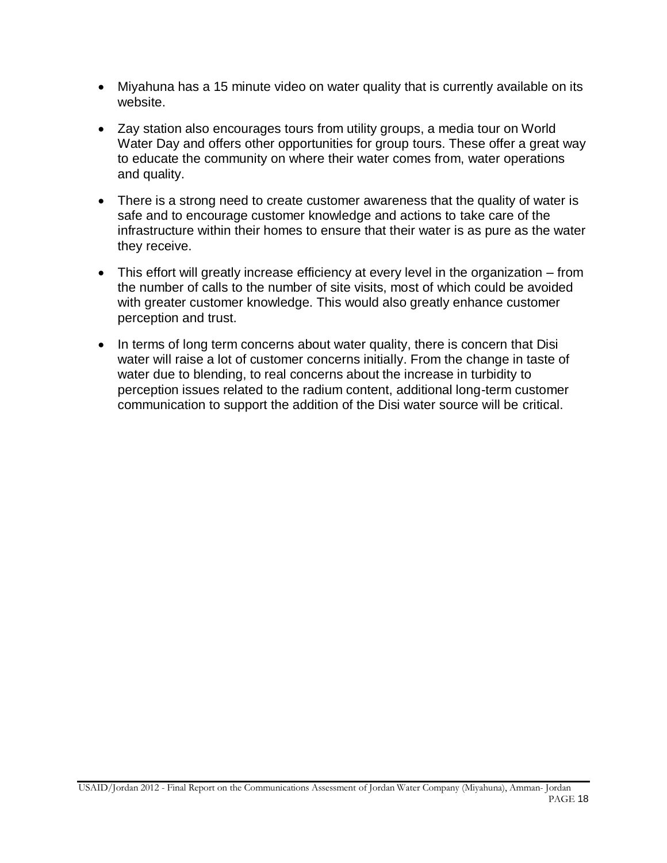- Miyahuna has a 15 minute video on water quality that is currently available on its website.
- Zay station also encourages tours from utility groups, a media tour on World Water Day and offers other opportunities for group tours. These offer a great way to educate the community on where their water comes from, water operations and quality.
- There is a strong need to create customer awareness that the quality of water is safe and to encourage customer knowledge and actions to take care of the infrastructure within their homes to ensure that their water is as pure as the water they receive.
- This effort will greatly increase efficiency at every level in the organization from the number of calls to the number of site visits, most of which could be avoided with greater customer knowledge. This would also greatly enhance customer perception and trust.
- In terms of long term concerns about water quality, there is concern that Disi water will raise a lot of customer concerns initially. From the change in taste of water due to blending, to real concerns about the increase in turbidity to perception issues related to the radium content, additional long-term customer communication to support the addition of the Disi water source will be critical.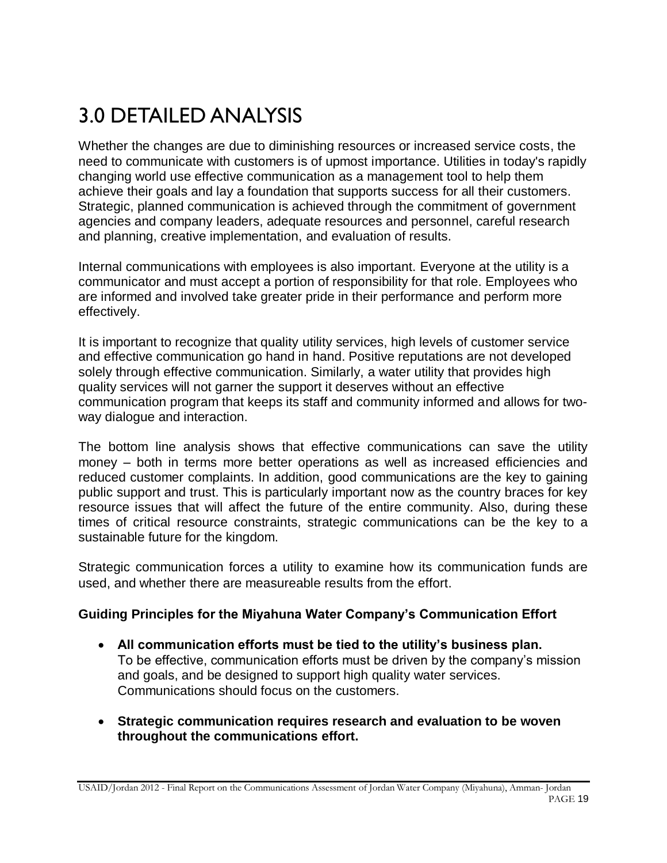# 3.0 DETAILED ANALYSIS

Whether the changes are due to diminishing resources or increased service costs, the need to communicate with customers is of upmost importance. Utilities in today's rapidly changing world use effective communication as a management tool to help them achieve their goals and lay a foundation that supports success for all their customers. Strategic, planned communication is achieved through the commitment of government agencies and company leaders, adequate resources and personnel, careful research and planning, creative implementation, and evaluation of results.

Internal communications with employees is also important. Everyone at the utility is a communicator and must accept a portion of responsibility for that role. Employees who are informed and involved take greater pride in their performance and perform more effectively.

It is important to recognize that quality utility services, high levels of customer service and effective communication go hand in hand. Positive reputations are not developed solely through effective communication. Similarly, a water utility that provides high quality services will not garner the support it deserves without an effective communication program that keeps its staff and community informed and allows for twoway dialogue and interaction.

The bottom line analysis shows that effective communications can save the utility money – both in terms more better operations as well as increased efficiencies and reduced customer complaints. In addition, good communications are the key to gaining public support and trust. This is particularly important now as the country braces for key resource issues that will affect the future of the entire community. Also, during these times of critical resource constraints, strategic communications can be the key to a sustainable future for the kingdom.

Strategic communication forces a utility to examine how its communication funds are used, and whether there are measureable results from the effort.

## **Guiding Principles for the Miyahuna Water Company's Communication Effort**

- **All communication efforts must be tied to the utility's business plan.** To be effective, communication efforts must be driven by the company's mission and goals, and be designed to support high quality water services. Communications should focus on the customers.
- **Strategic communication requires research and evaluation to be woven throughout the communications effort.**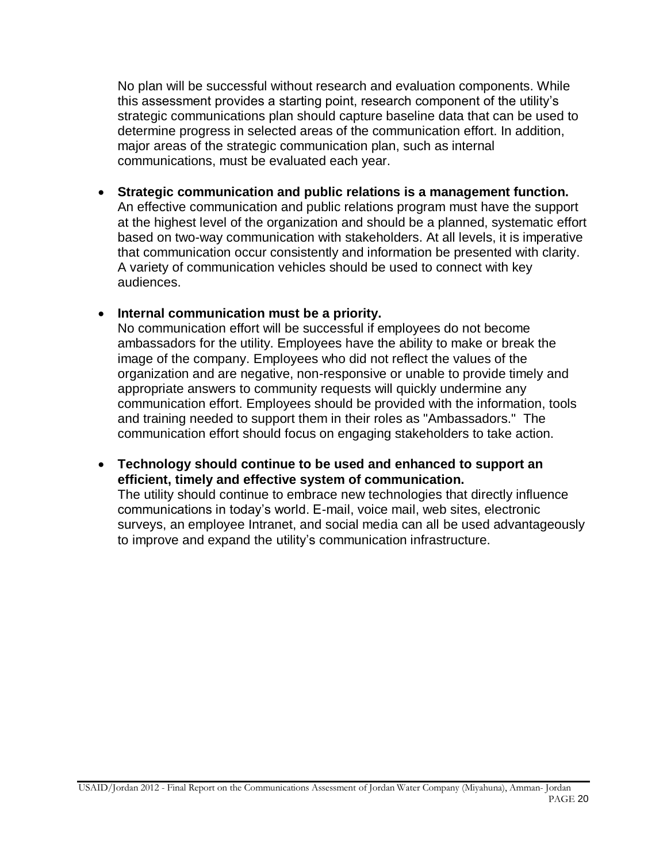No plan will be successful without research and evaluation components. While this assessment provides a starting point, research component of the utility's strategic communications plan should capture baseline data that can be used to determine progress in selected areas of the communication effort. In addition, major areas of the strategic communication plan, such as internal communications, must be evaluated each year.

 **Strategic communication and public relations is a management function.** An effective communication and public relations program must have the support at the highest level of the organization and should be a planned, systematic effort based on two-way communication with stakeholders. At all levels, it is imperative that communication occur consistently and information be presented with clarity. A variety of communication vehicles should be used to connect with key audiences.

#### **Internal communication must be a priority.**

No communication effort will be successful if employees do not become ambassadors for the utility. Employees have the ability to make or break the image of the company. Employees who did not reflect the values of the organization and are negative, non-responsive or unable to provide timely and appropriate answers to community requests will quickly undermine any communication effort. Employees should be provided with the information, tools and training needed to support them in their roles as "Ambassadors." The communication effort should focus on engaging stakeholders to take action.

#### **Technology should continue to be used and enhanced to support an efficient, timely and effective system of communication.**

The utility should continue to embrace new technologies that directly influence communications in today's world. E-mail, voice mail, web sites, electronic surveys, an employee Intranet, and social media can all be used advantageously to improve and expand the utility's communication infrastructure.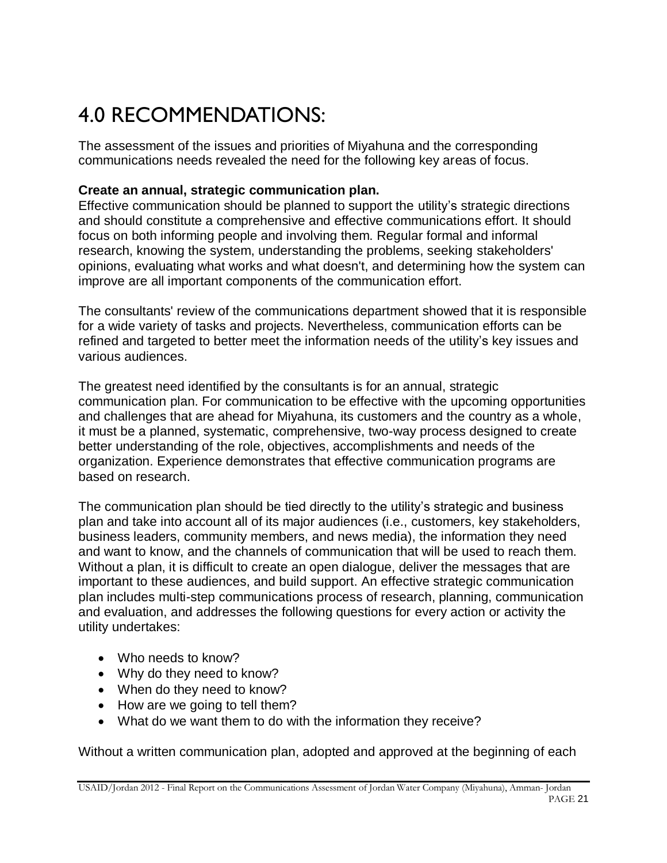# 4.0 RECOMMENDATIONS:

The assessment of the issues and priorities of Miyahuna and the corresponding communications needs revealed the need for the following key areas of focus.

# **Create an annual, strategic communication plan.**

Effective communication should be planned to support the utility's strategic directions and should constitute a comprehensive and effective communications effort. It should focus on both informing people and involving them. Regular formal and informal research, knowing the system, understanding the problems, seeking stakeholders' opinions, evaluating what works and what doesn't, and determining how the system can improve are all important components of the communication effort.

The consultants' review of the communications department showed that it is responsible for a wide variety of tasks and projects. Nevertheless, communication efforts can be refined and targeted to better meet the information needs of the utility's key issues and various audiences.

The greatest need identified by the consultants is for an annual, strategic communication plan. For communication to be effective with the upcoming opportunities and challenges that are ahead for Miyahuna, its customers and the country as a whole, it must be a planned, systematic, comprehensive, two-way process designed to create better understanding of the role, objectives, accomplishments and needs of the organization. Experience demonstrates that effective communication programs are based on research.

The communication plan should be tied directly to the utility's strategic and business plan and take into account all of its major audiences (i.e., customers, key stakeholders, business leaders, community members, and news media), the information they need and want to know, and the channels of communication that will be used to reach them. Without a plan, it is difficult to create an open dialogue, deliver the messages that are important to these audiences, and build support. An effective strategic communication plan includes multi-step communications process of research, planning, communication and evaluation, and addresses the following questions for every action or activity the utility undertakes:

- Who needs to know?
- Why do they need to know?
- When do they need to know?
- How are we going to tell them?
- What do we want them to do with the information they receive?

Without a written communication plan, adopted and approved at the beginning of each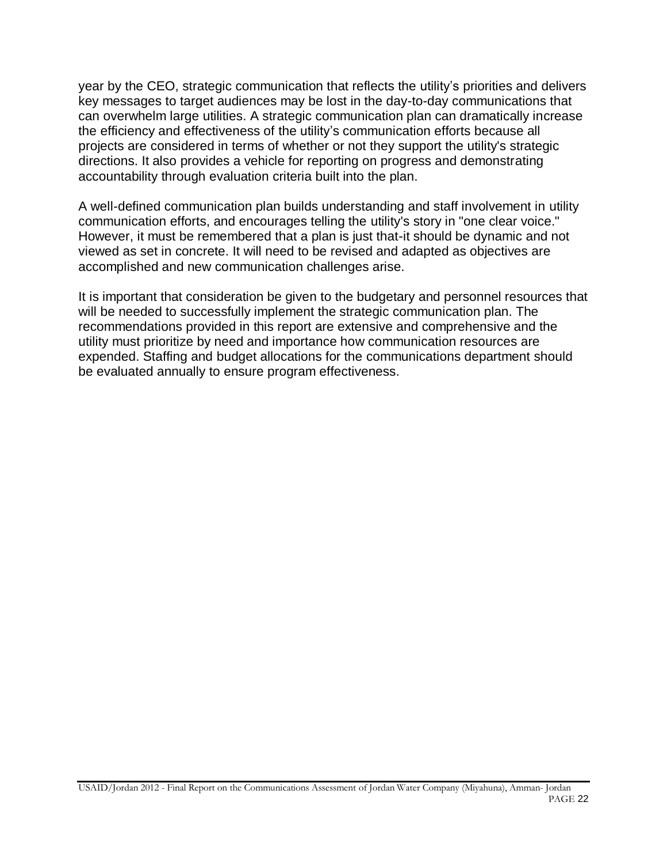year by the CEO, strategic communication that reflects the utility's priorities and delivers key messages to target audiences may be lost in the day-to-day communications that can overwhelm large utilities. A strategic communication plan can dramatically increase the efficiency and effectiveness of the utility's communication efforts because all projects are considered in terms of whether or not they support the utility's strategic directions. It also provides a vehicle for reporting on progress and demonstrating accountability through evaluation criteria built into the plan.

A well-defined communication plan builds understanding and staff involvement in utility communication efforts, and encourages telling the utility's story in "one clear voice." However, it must be remembered that a plan is just that-it should be dynamic and not viewed as set in concrete. It will need to be revised and adapted as objectives are accomplished and new communication challenges arise.

It is important that consideration be given to the budgetary and personnel resources that will be needed to successfully implement the strategic communication plan. The recommendations provided in this report are extensive and comprehensive and the utility must prioritize by need and importance how communication resources are expended. Staffing and budget allocations for the communications department should be evaluated annually to ensure program effectiveness.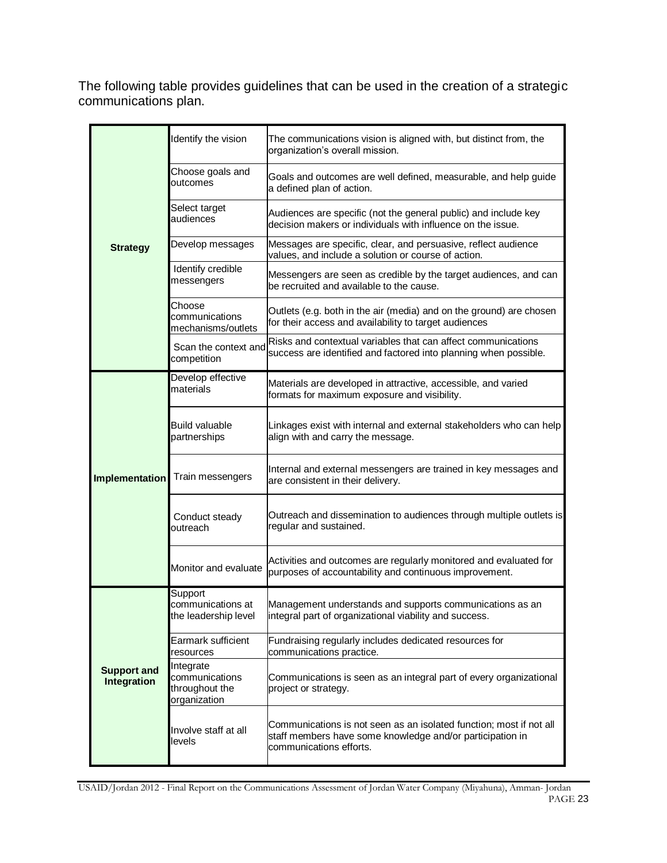The following table provides guidelines that can be used in the creation of a strategic communications plan.

|                                   | Identify the vision                                           | The communications vision is aligned with, but distinct from, the<br>organization's overall mission.                                                        |
|-----------------------------------|---------------------------------------------------------------|-------------------------------------------------------------------------------------------------------------------------------------------------------------|
|                                   | Choose goals and<br>outcomes                                  | Goals and outcomes are well defined, measurable, and help guide<br>a defined plan of action.                                                                |
|                                   | Select target<br>audiences                                    | Audiences are specific (not the general public) and include key<br>decision makers or individuals with influence on the issue.                              |
| <b>Strategy</b>                   | Develop messages                                              | Messages are specific, clear, and persuasive, reflect audience<br>values, and include a solution or course of action.                                       |
|                                   | Identify credible<br>messengers                               | Messengers are seen as credible by the target audiences, and can<br>be recruited and available to the cause.                                                |
|                                   | Choose<br>communications<br>mechanisms/outlets                | Outlets (e.g. both in the air (media) and on the ground) are chosen<br>for their access and availability to target audiences                                |
|                                   | Scan the context and<br>competition                           | Risks and contextual variables that can affect communications<br>success are identified and factored into planning when possible.                           |
|                                   | Develop effective<br>materials                                | Materials are developed in attractive, accessible, and varied<br>formats for maximum exposure and visibility.                                               |
| Implementation                    | <b>Build valuable</b><br>partnerships                         | Linkages exist with internal and external stakeholders who can help<br>align with and carry the message.                                                    |
|                                   | Train messengers                                              | Internal and external messengers are trained in key messages and<br>are consistent in their delivery.                                                       |
|                                   | Conduct steady<br>outreach                                    | Outreach and dissemination to audiences through multiple outlets is<br>regular and sustained.                                                               |
|                                   | Monitor and evaluate                                          | Activities and outcomes are regularly monitored and evaluated for<br>purposes of accountability and continuous improvement.                                 |
|                                   | Support<br>communications at<br>the leadership level          | Management understands and supports communications as an<br>integral part of organizational viability and success.                                          |
|                                   | Earmark sufficient<br>resources                               | Fundraising regularly includes dedicated resources for<br>communications practice.                                                                          |
| <b>Support and</b><br>Integration | Integrate<br>communications<br>throughout the<br>organization | Communications is seen as an integral part of every organizational<br>project or strategy.                                                                  |
|                                   | Involve staff at all<br>levels                                | Communications is not seen as an isolated function; most if not all<br>staff members have some knowledge and/or participation in<br>communications efforts. |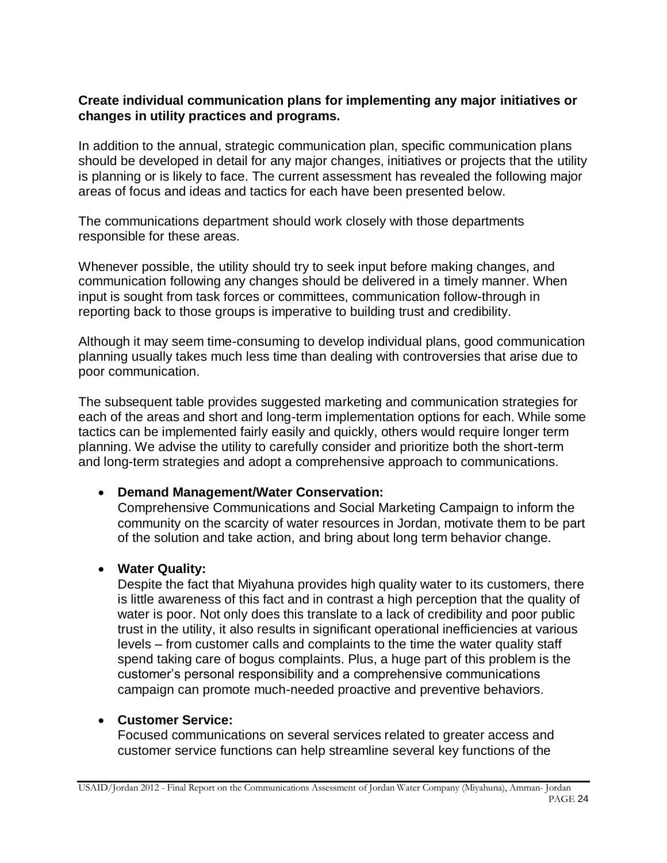### **Create individual communication plans for implementing any major initiatives or changes in utility practices and programs.**

In addition to the annual, strategic communication plan, specific communication plans should be developed in detail for any major changes, initiatives or projects that the utility is planning or is likely to face. The current assessment has revealed the following major areas of focus and ideas and tactics for each have been presented below.

The communications department should work closely with those departments responsible for these areas.

Whenever possible, the utility should try to seek input before making changes, and communication following any changes should be delivered in a timely manner. When input is sought from task forces or committees, communication follow-through in reporting back to those groups is imperative to building trust and credibility.

Although it may seem time-consuming to develop individual plans, good communication planning usually takes much less time than dealing with controversies that arise due to poor communication.

The subsequent table provides suggested marketing and communication strategies for each of the areas and short and long-term implementation options for each. While some tactics can be implemented fairly easily and quickly, others would require longer term planning. We advise the utility to carefully consider and prioritize both the short-term and long-term strategies and adopt a comprehensive approach to communications.

## **Demand Management/Water Conservation:**

Comprehensive Communications and Social Marketing Campaign to inform the community on the scarcity of water resources in Jordan, motivate them to be part of the solution and take action, and bring about long term behavior change.

## **Water Quality:**

Despite the fact that Miyahuna provides high quality water to its customers, there is little awareness of this fact and in contrast a high perception that the quality of water is poor. Not only does this translate to a lack of credibility and poor public trust in the utility, it also results in significant operational inefficiencies at various levels – from customer calls and complaints to the time the water quality staff spend taking care of bogus complaints. Plus, a huge part of this problem is the customer's personal responsibility and a comprehensive communications campaign can promote much-needed proactive and preventive behaviors.

#### **Customer Service:**

Focused communications on several services related to greater access and customer service functions can help streamline several key functions of the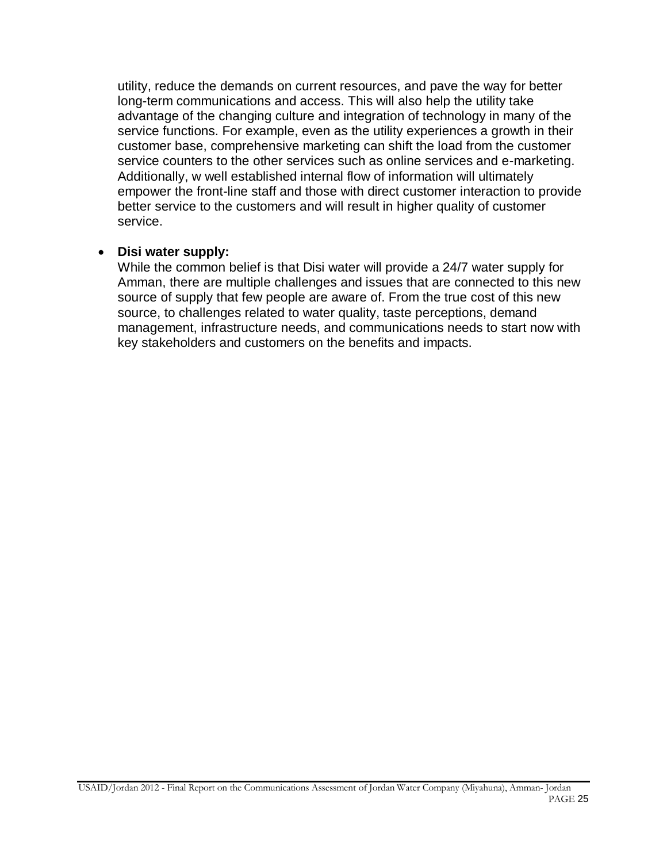utility, reduce the demands on current resources, and pave the way for better long-term communications and access. This will also help the utility take advantage of the changing culture and integration of technology in many of the service functions. For example, even as the utility experiences a growth in their customer base, comprehensive marketing can shift the load from the customer service counters to the other services such as online services and e-marketing. Additionally, w well established internal flow of information will ultimately empower the front-line staff and those with direct customer interaction to provide better service to the customers and will result in higher quality of customer service.

#### **Disi water supply:**

While the common belief is that Disi water will provide a 24/7 water supply for Amman, there are multiple challenges and issues that are connected to this new source of supply that few people are aware of. From the true cost of this new source, to challenges related to water quality, taste perceptions, demand management, infrastructure needs, and communications needs to start now with key stakeholders and customers on the benefits and impacts.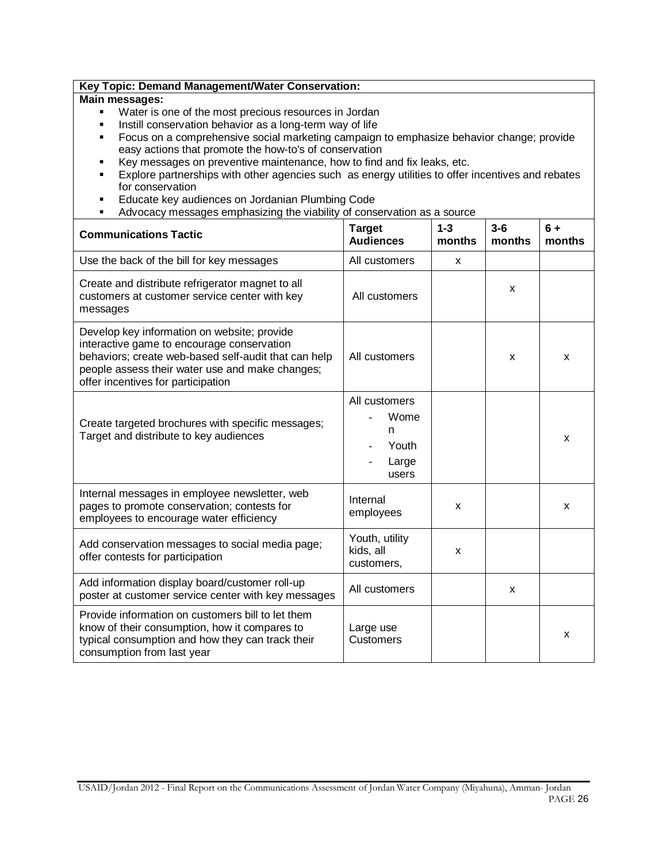| Key Topic: Demand Management/Water Conservation:      |  |
|-------------------------------------------------------|--|
| Main messages:                                        |  |
| Water is one of the most precious resources in Jordan |  |

- **Instill conservation behavior as a long-term way of life**
- **Focus on a comprehensive social marketing campaign to emphasize behavior change; provide** easy actions that promote the how-to's of conservation
- Key messages on preventive maintenance, how to find and fix leaks, etc.
- **Explore partnerships with other agencies such as energy utilities to offer incentives and rebates** for conservation
- **Educate key audiences on Jordanian Plumbing Code**
- Advocacy messages emphasizing the viability of conservation as a source

| <b>Communications Tactic</b>                                                                                                                                                                                                               | <b>Target</b><br><b>Audiences</b>                     | $1 - 3$<br>months | $3-6$<br>months | $6+$<br>months |
|--------------------------------------------------------------------------------------------------------------------------------------------------------------------------------------------------------------------------------------------|-------------------------------------------------------|-------------------|-----------------|----------------|
| Use the back of the bill for key messages                                                                                                                                                                                                  | All customers                                         | X                 |                 |                |
| Create and distribute refrigerator magnet to all<br>customers at customer service center with key<br>messages                                                                                                                              | All customers                                         |                   | X               |                |
| Develop key information on website; provide<br>interactive game to encourage conservation<br>behaviors; create web-based self-audit that can help<br>people assess their water use and make changes;<br>offer incentives for participation | All customers                                         |                   | X               | x              |
| Create targeted brochures with specific messages;<br>Target and distribute to key audiences                                                                                                                                                | All customers<br>Wome<br>n<br>Youth<br>Large<br>users |                   |                 | x              |
| Internal messages in employee newsletter, web<br>pages to promote conservation; contests for<br>employees to encourage water efficiency                                                                                                    | Internal<br>employees                                 | X                 |                 | x              |
| Add conservation messages to social media page;<br>offer contests for participation                                                                                                                                                        | Youth, utility<br>kids, all<br>customers,             | X                 |                 |                |
| Add information display board/customer roll-up<br>poster at customer service center with key messages                                                                                                                                      | All customers                                         |                   | X               |                |
| Provide information on customers bill to let them<br>know of their consumption, how it compares to<br>typical consumption and how they can track their<br>consumption from last year                                                       | Large use<br><b>Customers</b>                         |                   |                 | X              |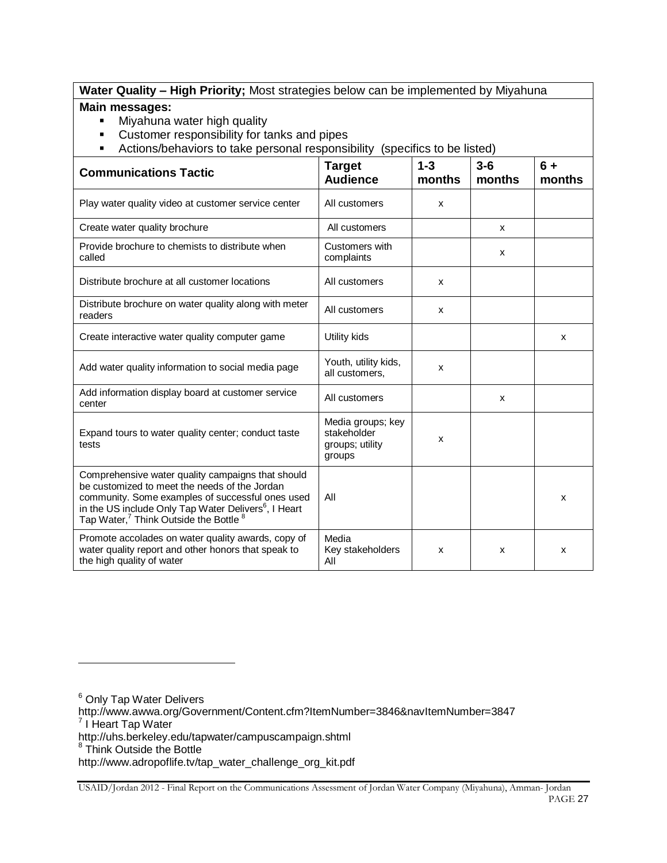#### **Water Quality – High Priority;** Most strategies below can be implemented by Miyahuna **Main messages:**

**Miyahuna water high quality** 

l

- Customer responsibility for tanks and pipes
- Actions/behaviors to take personal responsibility (specifics to be listed)

| <b>Communications Tactic</b>                                                                                                                                                                                                                                                                | <b>Target</b><br><b>Audience</b>                              | $1 - 3$<br>months | $3-6$<br>months | $6+$<br>months |
|---------------------------------------------------------------------------------------------------------------------------------------------------------------------------------------------------------------------------------------------------------------------------------------------|---------------------------------------------------------------|-------------------|-----------------|----------------|
| Play water quality video at customer service center                                                                                                                                                                                                                                         | All customers                                                 | X                 |                 |                |
| Create water quality brochure                                                                                                                                                                                                                                                               | All customers                                                 |                   | X               |                |
| Provide brochure to chemists to distribute when<br>called                                                                                                                                                                                                                                   | Customers with<br>complaints                                  |                   | x               |                |
| Distribute brochure at all customer locations                                                                                                                                                                                                                                               | All customers                                                 | X                 |                 |                |
| Distribute brochure on water quality along with meter<br>readers                                                                                                                                                                                                                            | All customers                                                 | X                 |                 |                |
| Create interactive water quality computer game                                                                                                                                                                                                                                              | Utility kids                                                  |                   |                 | x              |
| Add water quality information to social media page                                                                                                                                                                                                                                          | Youth, utility kids,<br>all customers,                        | X                 |                 |                |
| Add information display board at customer service<br>center                                                                                                                                                                                                                                 | All customers                                                 |                   | X               |                |
| Expand tours to water quality center; conduct taste<br>tests                                                                                                                                                                                                                                | Media groups; key<br>stakeholder<br>groups; utility<br>groups | X                 |                 |                |
| Comprehensive water quality campaigns that should<br>be customized to meet the needs of the Jordan<br>community. Some examples of successful ones used<br>in the US include Only Tap Water Delivers <sup>6</sup> , I Heart<br>Tap Water, <sup>7</sup> Think Outside the Bottle <sup>8</sup> | All                                                           |                   |                 | x              |
| Promote accolades on water quality awards, copy of<br>water quality report and other honors that speak to<br>the high quality of water                                                                                                                                                      | Media<br>Key stakeholders<br>All                              | x                 | x               | x              |

<sup>6</sup> Only Tap Water Delivers http://www.awwa.org/Government/Content.cfm?ItemNumber=3846&navItemNumber=3847<br><sup>7</sup> I Heart Tap Water http://uhs.berkeley.edu/tapwater/campuscampaign.shtml<br><sup>8</sup> Think Outside the Bottle http://www.adropoflife.tv/tap\_water\_challenge\_org\_kit.pdf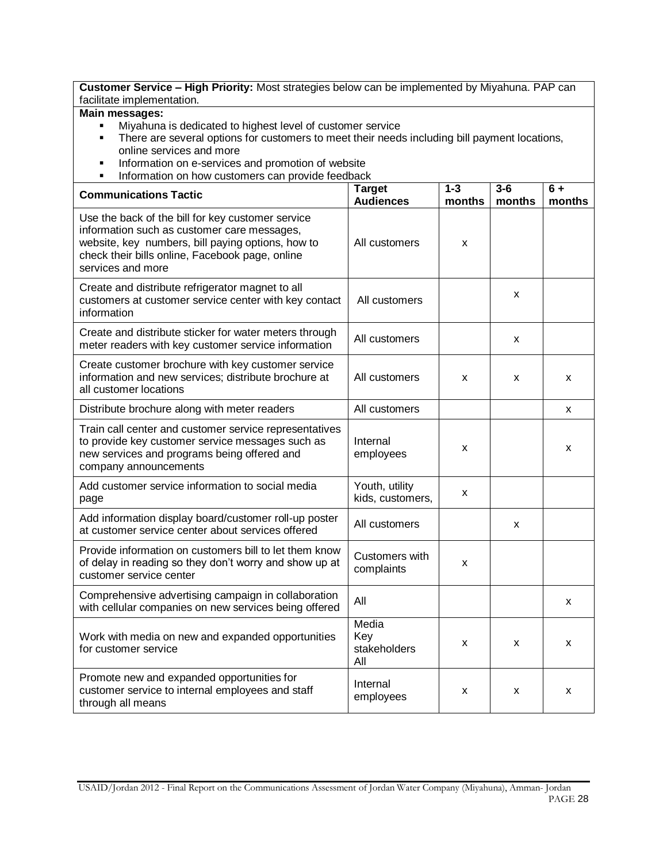**Customer Service – High Priority:** Most strategies below can be implemented by Miyahuna. PAP can facilitate implementation. **Main messages:**  Miyahuna is dedicated to highest level of customer service There are several options for customers to meet their needs including bill payment locations, online services and more **Information on e-services and promotion of website**  Information on how customers can provide feedback **Communications Tactic Target**  Target **Audiences 1-3 months 3-6 months 6 + months**  Use the back of the bill for key customer service information such as customer care messages, website, key numbers, bill paying options, how to check their bills online, Facebook page, online services and more All customers  $\frac{1}{x}$ Create and distribute refrigerator magnet to all customers at customer service center with key contact information All customers  $\begin{vmatrix} x \\ y \end{vmatrix}$ Create and distribute sticker for water meters through Create and distribute sucker for water meters unough All customers  $x = \begin{bmatrix} x \\ y \end{bmatrix}$  x Create customer brochure with key customer service information and new services; distribute brochure at all customer locations All customers x x x Distribute brochure along with meter readers All customers All customers All customers All customers and the s Train call center and customer service representatives to provide key customer service messages such as new services and programs being offered and company announcements Internal  $x = \begin{vmatrix} x \\ y \end{vmatrix}$  x Add customer service information to social media page Youth, utility  $kids, customers,$   $x$ Add information display board/customer roll-up poster Add information display board/customer foir-up poster | All customers |  $\vert$  x Provide information on customers bill to let them know of delay in reading so they don't worry and show up at customer service center Customers with  $\frac{1}{2}$  complaints  $\frac{1}{2}$  x Comprehensive advertising campaign in collaboration villar comprehensive adventising campaign in conaboration<br>with cellular companies on new services being offered All Work with media on new and expanded opportunities for customer service Media Key stakeholders All  $x \mid x \mid x$ Promote new and expanded opportunities for customer service to internal employees and staff through all means Internal  $\frac{1}{2}$  employees  $x \mid x \mid x$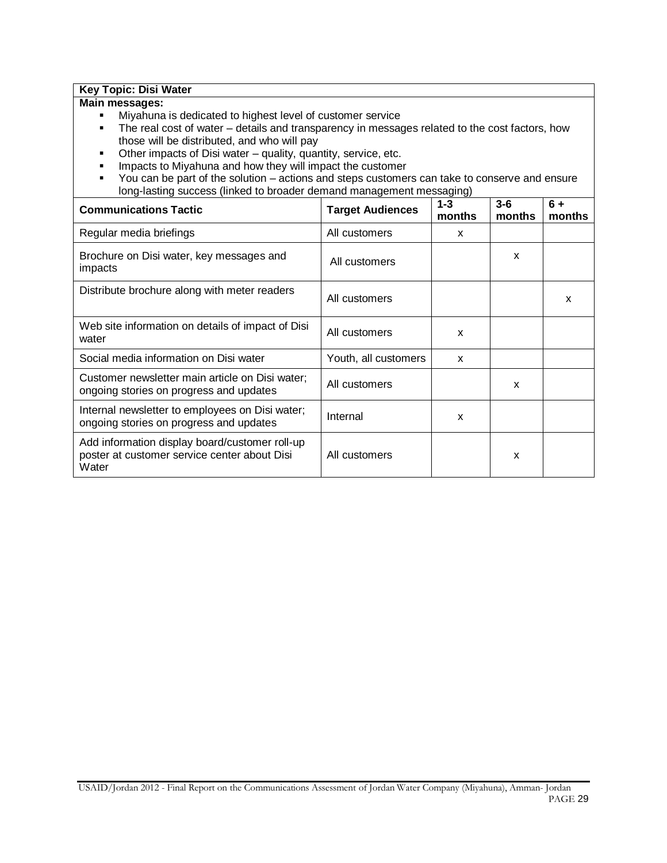#### **Key Topic: Disi Water**

#### **Main messages:**

- Miyahuna is dedicated to highest level of customer service
- The real cost of water details and transparency in messages related to the cost factors, how those will be distributed, and who will pay
- Other impacts of Disi water quality, quantity, service, etc.
- **IMPACTS TO MIXAL 2018 And HOW THEY WILL IMPACT THE CUSTOMER**
- You can be part of the solution actions and steps customers can take to conserve and ensure long-lasting success (linked to broader demand management messaging)

| <b>Communications Tactic</b>                                                                            | <b>Target Audiences</b> | $1 - 3$<br>months | $3-6$<br>months | 6+<br>months |
|---------------------------------------------------------------------------------------------------------|-------------------------|-------------------|-----------------|--------------|
| Regular media briefings                                                                                 | All customers           | x                 |                 |              |
| Brochure on Disi water, key messages and<br>impacts                                                     | All customers           |                   | x               |              |
| Distribute brochure along with meter readers                                                            | All customers           |                   |                 | x            |
| Web site information on details of impact of Disi<br>water                                              | All customers           | $\mathbf{x}$      |                 |              |
| Social media information on Disi water                                                                  | Youth, all customers    | X                 |                 |              |
| Customer newsletter main article on Disi water;<br>ongoing stories on progress and updates              | All customers           |                   | X               |              |
| Internal newsletter to employees on Disi water;<br>ongoing stories on progress and updates              | Internal                | x                 |                 |              |
| Add information display board/customer roll-up<br>poster at customer service center about Disi<br>Water | All customers           |                   | X               |              |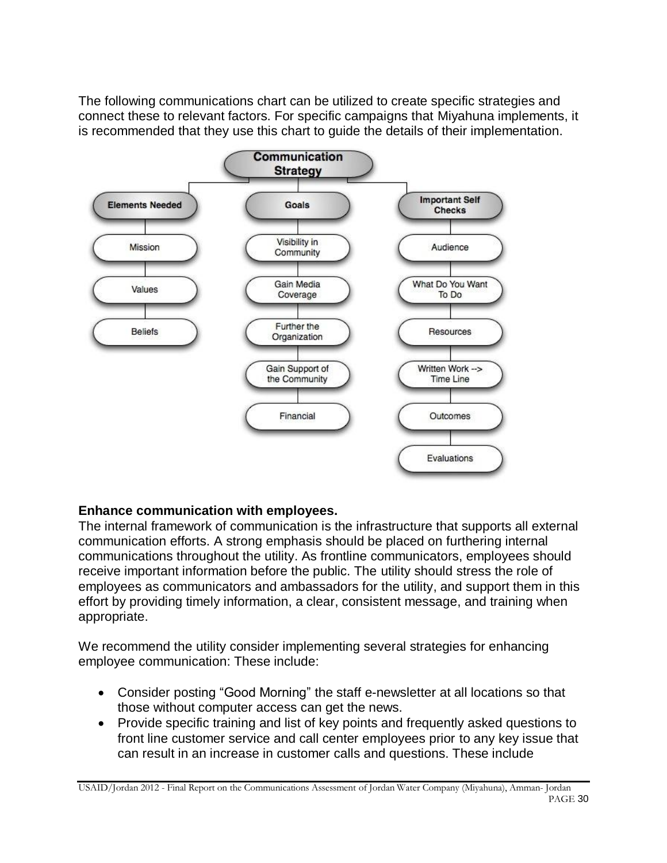The following communications chart can be utilized to create specific strategies and connect these to relevant factors. For specific campaigns that Miyahuna implements, it is recommended that they use this chart to guide the details of their implementation.



# **Enhance communication with employees.**

The internal framework of communication is the infrastructure that supports all external communication efforts. A strong emphasis should be placed on furthering internal communications throughout the utility. As frontline communicators, employees should receive important information before the public. The utility should stress the role of employees as communicators and ambassadors for the utility, and support them in this effort by providing timely information, a clear, consistent message, and training when appropriate.

We recommend the utility consider implementing several strategies for enhancing employee communication: These include:

- Consider posting "Good Morning" the staff e-newsletter at all locations so that those without computer access can get the news.
- Provide specific training and list of key points and frequently asked questions to front line customer service and call center employees prior to any key issue that can result in an increase in customer calls and questions. These include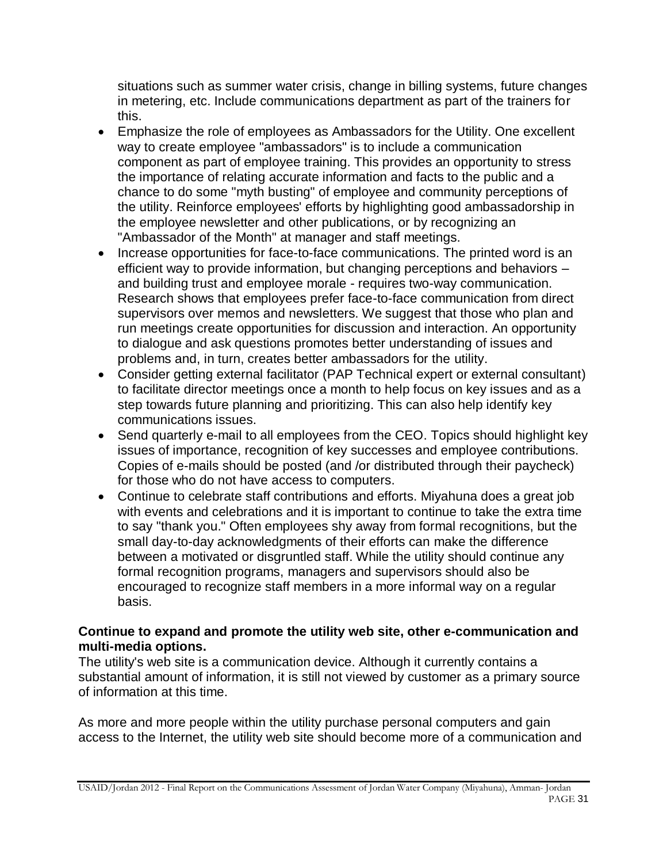situations such as summer water crisis, change in billing systems, future changes in metering, etc. Include communications department as part of the trainers for this.

- Emphasize the role of employees as Ambassadors for the Utility. One excellent way to create employee "ambassadors" is to include a communication component as part of employee training. This provides an opportunity to stress the importance of relating accurate information and facts to the public and a chance to do some "myth busting" of employee and community perceptions of the utility. Reinforce employees' efforts by highlighting good ambassadorship in the employee newsletter and other publications, or by recognizing an "Ambassador of the Month" at manager and staff meetings.
- Increase opportunities for face-to-face communications. The printed word is an efficient way to provide information, but changing perceptions and behaviors – and building trust and employee morale - requires two-way communication. Research shows that employees prefer face-to-face communication from direct supervisors over memos and newsletters. We suggest that those who plan and run meetings create opportunities for discussion and interaction. An opportunity to dialogue and ask questions promotes better understanding of issues and problems and, in turn, creates better ambassadors for the utility.
- Consider getting external facilitator (PAP Technical expert or external consultant) to facilitate director meetings once a month to help focus on key issues and as a step towards future planning and prioritizing. This can also help identify key communications issues.
- Send quarterly e-mail to all employees from the CEO. Topics should highlight key issues of importance, recognition of key successes and employee contributions. Copies of e-mails should be posted (and /or distributed through their paycheck) for those who do not have access to computers.
- Continue to celebrate staff contributions and efforts. Miyahuna does a great job with events and celebrations and it is important to continue to take the extra time to say "thank you." Often employees shy away from formal recognitions, but the small day-to-day acknowledgments of their efforts can make the difference between a motivated or disgruntled staff. While the utility should continue any formal recognition programs, managers and supervisors should also be encouraged to recognize staff members in a more informal way on a regular basis.

## **Continue to expand and promote the utility web site, other e-communication and multi-media options.**

The utility's web site is a communication device. Although it currently contains a substantial amount of information, it is still not viewed by customer as a primary source of information at this time.

As more and more people within the utility purchase personal computers and gain access to the Internet, the utility web site should become more of a communication and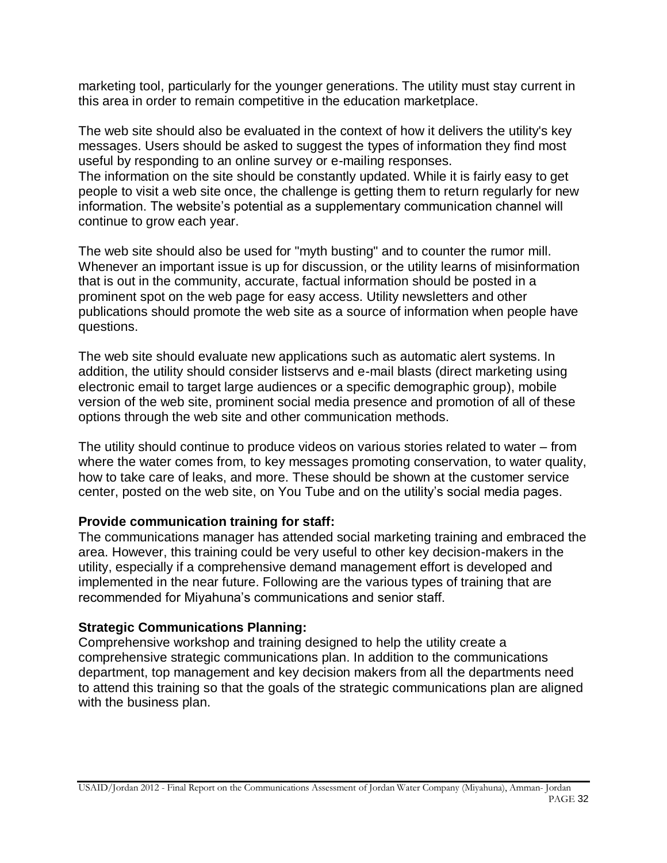marketing tool, particularly for the younger generations. The utility must stay current in this area in order to remain competitive in the education marketplace.

The web site should also be evaluated in the context of how it delivers the utility's key messages. Users should be asked to suggest the types of information they find most useful by responding to an online survey or e-mailing responses. The information on the site should be constantly updated. While it is fairly easy to get people to visit a web site once, the challenge is getting them to return regularly for new information. The website's potential as a supplementary communication channel will

continue to grow each year.

The web site should also be used for "myth busting" and to counter the rumor mill. Whenever an important issue is up for discussion, or the utility learns of misinformation that is out in the community, accurate, factual information should be posted in a prominent spot on the web page for easy access. Utility newsletters and other publications should promote the web site as a source of information when people have questions.

The web site should evaluate new applications such as automatic alert systems. In addition, the utility should consider listservs and e-mail blasts (direct marketing using electronic email to target large audiences or a specific demographic group), mobile version of the web site, prominent social media presence and promotion of all of these options through the web site and other communication methods.

The utility should continue to produce videos on various stories related to water – from where the water comes from, to key messages promoting conservation, to water quality, how to take care of leaks, and more. These should be shown at the customer service center, posted on the web site, on You Tube and on the utility's social media pages.

## **Provide communication training for staff:**

The communications manager has attended social marketing training and embraced the area. However, this training could be very useful to other key decision-makers in the utility, especially if a comprehensive demand management effort is developed and implemented in the near future. Following are the various types of training that are recommended for Miyahuna's communications and senior staff.

## **Strategic Communications Planning:**

Comprehensive workshop and training designed to help the utility create a comprehensive strategic communications plan. In addition to the communications department, top management and key decision makers from all the departments need to attend this training so that the goals of the strategic communications plan are aligned with the business plan.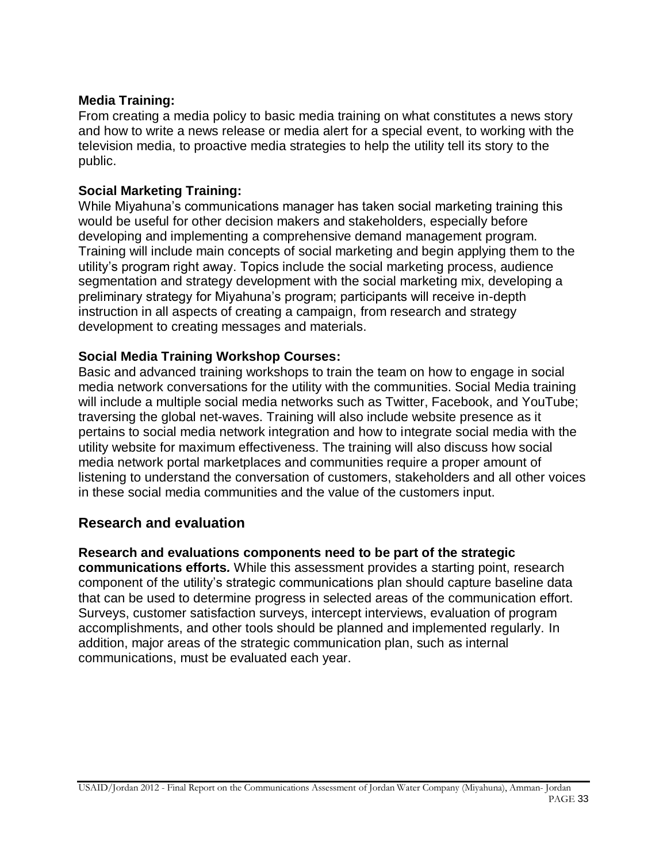### **Media Training:**

From creating a media policy to basic media training on what constitutes a news story and how to write a news release or media alert for a special event, to working with the television media, to proactive media strategies to help the utility tell its story to the public.

### **Social Marketing Training:**

While Miyahuna's communications manager has taken social marketing training this would be useful for other decision makers and stakeholders, especially before developing and implementing a comprehensive demand management program. Training will include main concepts of social marketing and begin applying them to the utility's program right away. Topics include the social marketing process, audience segmentation and strategy development with the social marketing mix, developing a preliminary strategy for Miyahuna's program; participants will receive in-depth instruction in all aspects of creating a campaign, from research and strategy development to creating messages and materials.

### **Social Media Training Workshop Courses:**

Basic and advanced training workshops to train the team on how to engage in social media network conversations for the utility with the communities. Social Media training will include a multiple social media networks such as Twitter, Facebook, and YouTube; traversing the global net-waves. Training will also include website presence as it pertains to social media network integration and how to integrate social media with the utility website for maximum effectiveness. The training will also discuss how social media network portal marketplaces and communities require a proper amount of listening to understand the conversation of customers, stakeholders and all other voices in these social media communities and the value of the customers input.

## **Research and evaluation**

#### **Research and evaluations components need to be part of the strategic**

**communications efforts***.* While this assessment provides a starting point, research component of the utility's strategic communications plan should capture baseline data that can be used to determine progress in selected areas of the communication effort. Surveys, customer satisfaction surveys, intercept interviews, evaluation of program accomplishments, and other tools should be planned and implemented regularly. In addition, major areas of the strategic communication plan, such as internal communications, must be evaluated each year.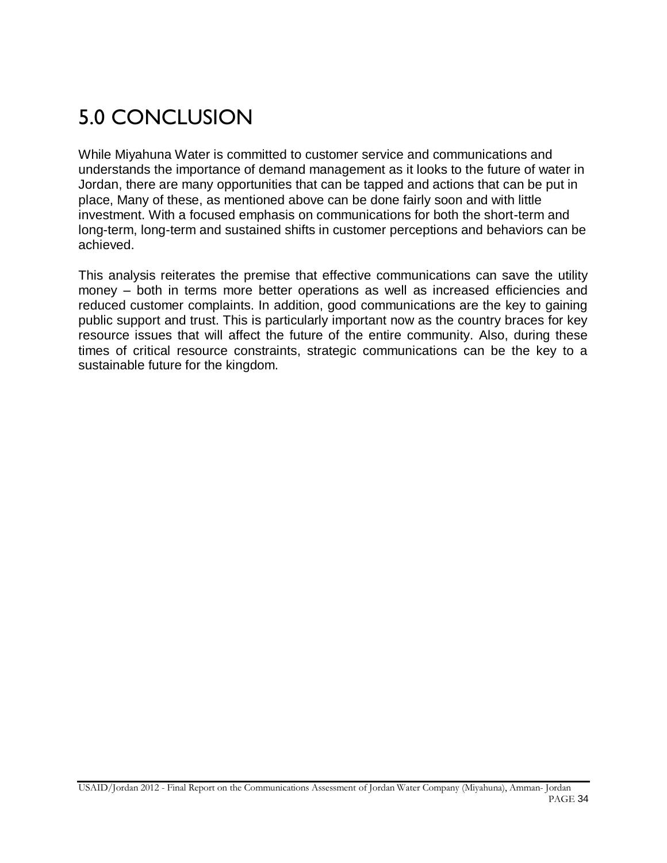# 5.0 CONCLUSION

While Miyahuna Water is committed to customer service and communications and understands the importance of demand management as it looks to the future of water in Jordan, there are many opportunities that can be tapped and actions that can be put in place, Many of these, as mentioned above can be done fairly soon and with little investment. With a focused emphasis on communications for both the short-term and long-term, long-term and sustained shifts in customer perceptions and behaviors can be achieved.

This analysis reiterates the premise that effective communications can save the utility money – both in terms more better operations as well as increased efficiencies and reduced customer complaints. In addition, good communications are the key to gaining public support and trust. This is particularly important now as the country braces for key resource issues that will affect the future of the entire community. Also, during these times of critical resource constraints, strategic communications can be the key to a sustainable future for the kingdom.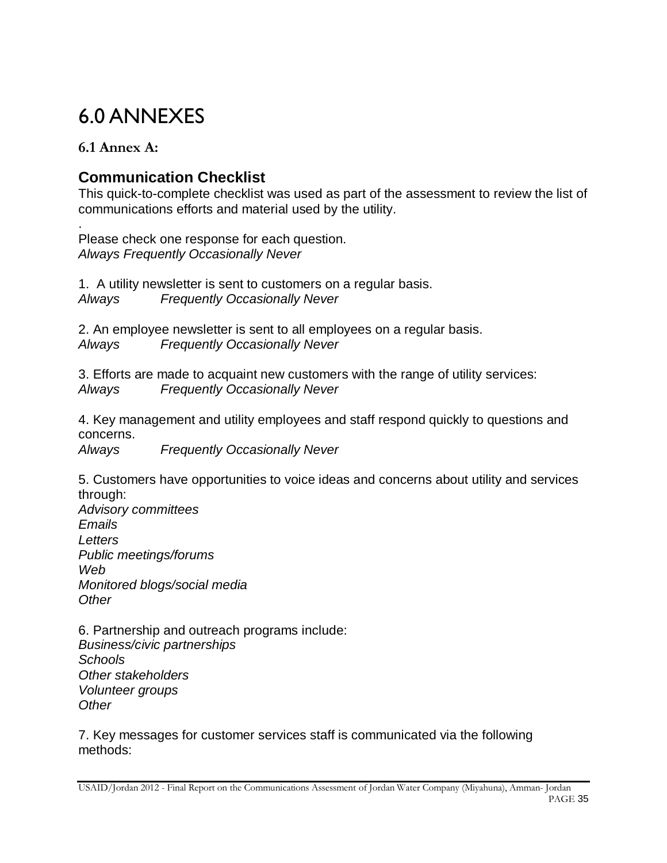# 6.0 ANNEXES

# **6.1 Annex A:**

# **Communication Checklist**

This quick-to-complete checklist was used as part of the assessment to review the list of communications efforts and material used by the utility.

. Please check one response for each question. *Always Frequently Occasionally Never*

1. A utility newsletter is sent to customers on a regular basis. *Always Frequently Occasionally Never*

2. An employee newsletter is sent to all employees on a regular basis. *Always Frequently Occasionally Never*

3. Efforts are made to acquaint new customers with the range of utility services: *Always Frequently Occasionally Never*

4. Key management and utility employees and staff respond quickly to questions and concerns.

*Always Frequently Occasionally Never*

5. Customers have opportunities to voice ideas and concerns about utility and services through:

*Advisory committees Emails Letters Public meetings/forums Web Monitored blogs/social media Other*

6. Partnership and outreach programs include: *Business/civic partnerships Schools Other stakeholders Volunteer groups Other*

7. Key messages for customer services staff is communicated via the following methods: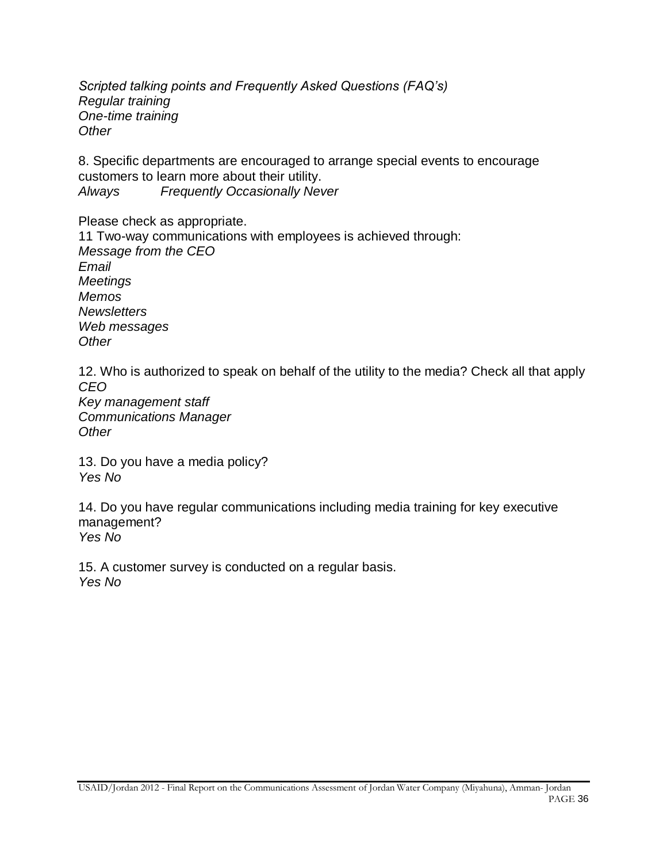*Scripted talking points and Frequently Asked Questions (FAQ's) Regular training One-time training Other*

8. Specific departments are encouraged to arrange special events to encourage customers to learn more about their utility. *Always Frequently Occasionally Never*

Please check as appropriate.

11 Two-way communications with employees is achieved through: *Message from the CEO Email Meetings Memos Newsletters Web messages Other*

12. Who is authorized to speak on behalf of the utility to the media? Check all that apply *CEO Key management staff Communications Manager Other*

13. Do you have a media policy? *Yes No*

14. Do you have regular communications including media training for key executive management? *Yes No*

15. A customer survey is conducted on a regular basis. *Yes No*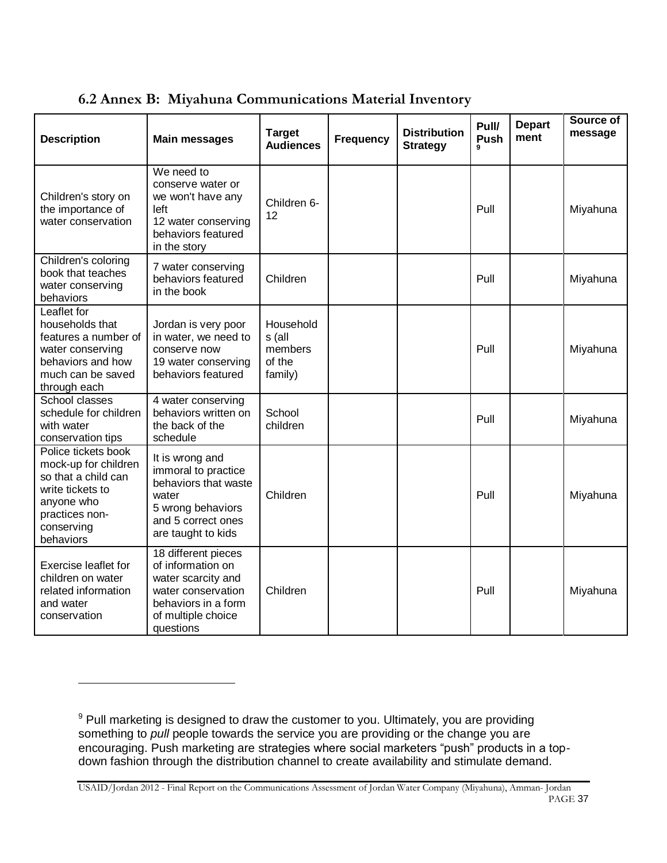| <b>Description</b>                                                                                                                                | <b>Main messages</b>                                                                                                                           | <b>Target</b><br><b>Audiences</b>                   | <b>Frequency</b> | <b>Distribution</b><br><b>Strategy</b> | Pull/<br>Push | <b>Depart</b><br>ment | Source of<br>message |
|---------------------------------------------------------------------------------------------------------------------------------------------------|------------------------------------------------------------------------------------------------------------------------------------------------|-----------------------------------------------------|------------------|----------------------------------------|---------------|-----------------------|----------------------|
| Children's story on<br>the importance of<br>water conservation                                                                                    | We need to<br>conserve water or<br>we won't have any<br>left<br>12 water conserving<br>behaviors featured<br>in the story                      | Children 6-<br>12                                   |                  |                                        | Pull          |                       | Miyahuna             |
| Children's coloring<br>book that teaches<br>water conserving<br>behaviors                                                                         | 7 water conserving<br>behaviors featured<br>in the book                                                                                        | Children                                            |                  |                                        | Pull          |                       | Miyahuna             |
| Leaflet for<br>households that<br>features a number of<br>water conserving<br>behaviors and how<br>much can be saved<br>through each              | Jordan is very poor<br>in water, we need to<br>conserve now<br>19 water conserving<br>behaviors featured                                       | Household<br>s (all<br>members<br>of the<br>family) |                  |                                        | Pull          |                       | Miyahuna             |
| School classes<br>schedule for children<br>with water<br>conservation tips                                                                        | 4 water conserving<br>behaviors written on<br>the back of the<br>schedule                                                                      | School<br>children                                  |                  |                                        | Pull          |                       | Miyahuna             |
| Police tickets book<br>mock-up for children<br>so that a child can<br>write tickets to<br>anyone who<br>practices non-<br>conserving<br>behaviors | It is wrong and<br>immoral to practice<br>behaviors that waste<br>water<br>5 wrong behaviors<br>and 5 correct ones<br>are taught to kids       | Children                                            |                  |                                        | Pull          |                       | Miyahuna             |
| <b>Exercise leaflet for</b><br>children on water<br>related information<br>and water<br>conservation                                              | 18 different pieces<br>of information on<br>water scarcity and<br>water conservation<br>behaviors in a form<br>of multiple choice<br>questions | Children                                            |                  |                                        | Pull          |                       | Miyahuna             |

**6.2 Annex B: Miyahuna Communications Material Inventory**

l

USAID/Jordan 2012 - Final Report on the Communications Assessment of Jordan Water Company (Miyahuna), Amman- Jordan PAGE 37

 $9$  Pull marketing is designed to draw the customer to you. Ultimately, you are providing something to *pull* people towards the service you are providing or the change you are encouraging. Push marketing are strategies where social marketers "push" products in a topdown fashion through the distribution channel to create availability and stimulate demand.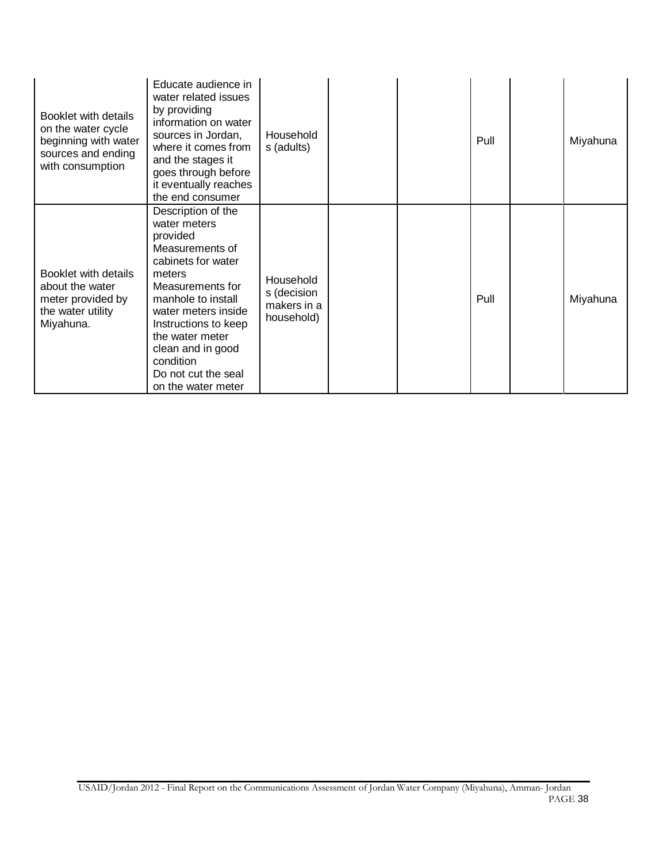| Booklet with details<br>on the water cycle<br>beginning with water<br>sources and ending<br>with consumption | Educate audience in<br>water related issues<br>by providing<br>information on water<br>sources in Jordan,<br>where it comes from<br>and the stages it<br>goes through before<br>it eventually reaches<br>the end consumer                                                                    | Household<br>s (adults)                               |  | Pull | Miyahuna |
|--------------------------------------------------------------------------------------------------------------|----------------------------------------------------------------------------------------------------------------------------------------------------------------------------------------------------------------------------------------------------------------------------------------------|-------------------------------------------------------|--|------|----------|
| Booklet with details<br>about the water<br>meter provided by<br>the water utility<br>Miyahuna.               | Description of the<br>water meters<br>provided<br>Measurements of<br>cabinets for water<br>meters<br>Measurements for<br>manhole to install<br>water meters inside<br>Instructions to keep<br>the water meter<br>clean and in good<br>condition<br>Do not cut the seal<br>on the water meter | Household<br>s (decision<br>makers in a<br>household) |  | Pull | Miyahuna |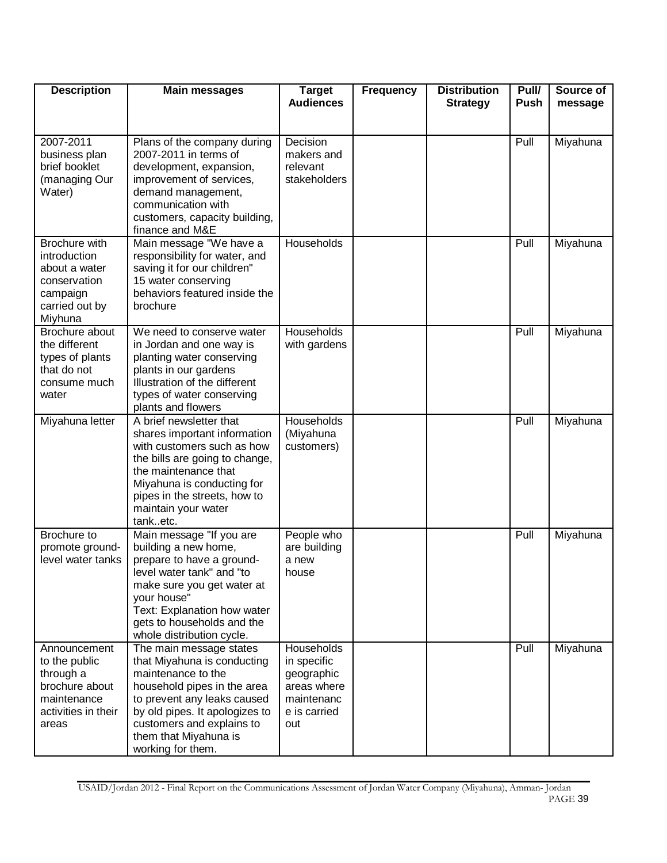| <b>Description</b>                                                                                          | <b>Main messages</b>                                                                                                                                                                                                                                    | <b>Target</b><br><b>Audiences</b>                                                           | <b>Frequency</b> | <b>Distribution</b><br><b>Strategy</b> | Pull/<br><b>Push</b> | Source of<br>message |
|-------------------------------------------------------------------------------------------------------------|---------------------------------------------------------------------------------------------------------------------------------------------------------------------------------------------------------------------------------------------------------|---------------------------------------------------------------------------------------------|------------------|----------------------------------------|----------------------|----------------------|
|                                                                                                             |                                                                                                                                                                                                                                                         |                                                                                             |                  |                                        |                      |                      |
| 2007-2011<br>business plan<br>brief booklet<br>(managing Our<br>Water)                                      | Plans of the company during<br>2007-2011 in terms of<br>development, expansion,<br>improvement of services,<br>demand management,<br>communication with<br>customers, capacity building,<br>finance and M&E                                             | Decision<br>makers and<br>relevant<br>stakeholders                                          |                  |                                        | Pull                 | Miyahuna             |
| Brochure with<br>introduction<br>about a water<br>conservation<br>campaign<br>carried out by<br>Miyhuna     | Main message "We have a<br>responsibility for water, and<br>saving it for our children"<br>15 water conserving<br>behaviors featured inside the<br>brochure                                                                                             | Households                                                                                  |                  |                                        | Pull                 | Miyahuna             |
| Brochure about<br>the different<br>types of plants<br>that do not<br>consume much<br>water                  | We need to conserve water<br>in Jordan and one way is<br>planting water conserving<br>plants in our gardens<br>Illustration of the different<br>types of water conserving<br>plants and flowers                                                         | Households<br>with gardens                                                                  |                  |                                        | Pull                 | Miyahuna             |
| Miyahuna letter                                                                                             | A brief newsletter that<br>shares important information<br>with customers such as how<br>the bills are going to change,<br>the maintenance that<br>Miyahuna is conducting for<br>pipes in the streets, how to<br>maintain your water<br>tanketc.        | Households<br>(Miyahuna<br>customers)                                                       |                  |                                        | Pull                 | Miyahuna             |
| Brochure to<br>promote ground-<br>level water tanks                                                         | Main message "If you are<br>building a new home,<br>prepare to have a ground-<br>level water tank" and "to<br>make sure you get water at<br>your house"<br>Text: Explanation how water<br>gets to households and the<br>whole distribution cycle.       | People who<br>are building<br>a new<br>nouse                                                |                  |                                        | Pull                 | Miyahuna             |
| Announcement<br>to the public<br>through a<br>brochure about<br>maintenance<br>activities in their<br>areas | The main message states<br>that Miyahuna is conducting<br>maintenance to the<br>household pipes in the area<br>to prevent any leaks caused<br>by old pipes. It apologizes to<br>customers and explains to<br>them that Miyahuna is<br>working for them. | Households<br>in specific<br>geographic<br>areas where<br>maintenanc<br>e is carried<br>out |                  |                                        | Pull                 | Miyahuna             |